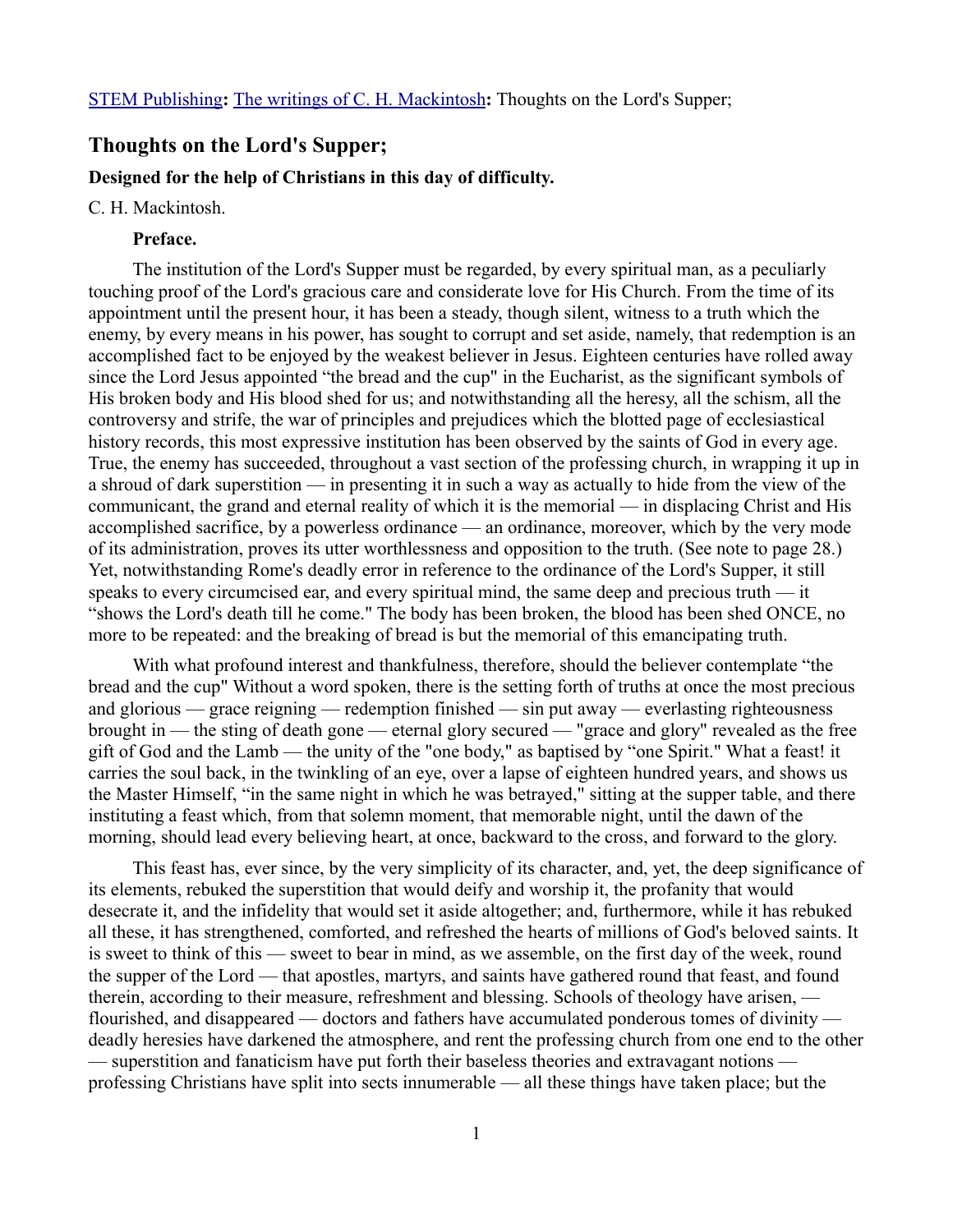# **Thoughts on the Lord's Supper;**

#### **Designed for the help of Christians in this day of difficulty.**

### C. H. Mackintosh.

### **Preface.**

The institution of the Lord's Supper must be regarded, by every spiritual man, as a peculiarly touching proof of the Lord's gracious care and considerate love for His Church. From the time of its appointment until the present hour, it has been a steady, though silent, witness to a truth which the enemy, by every means in his power, has sought to corrupt and set aside, namely, that redemption is an accomplished fact to be enjoyed by the weakest believer in Jesus. Eighteen centuries have rolled away since the Lord Jesus appointed "the bread and the cup" in the Eucharist, as the significant symbols of His broken body and His blood shed for us; and notwithstanding all the heresy, all the schism, all the controversy and strife, the war of principles and prejudices which the blotted page of ecclesiastical history records, this most expressive institution has been observed by the saints of God in every age. True, the enemy has succeeded, throughout a vast section of the professing church, in wrapping it up in a shroud of dark superstition — in presenting it in such a way as actually to hide from the view of the communicant, the grand and eternal reality of which it is the memorial — in displacing Christ and His accomplished sacrifice, by a powerless ordinance — an ordinance, moreover, which by the very mode of its administration, proves its utter worthlessness and opposition to the truth. (See note to page 28.) Yet, notwithstanding Rome's deadly error in reference to the ordinance of the Lord's Supper, it still speaks to every circumcised ear, and every spiritual mind, the same deep and precious truth — it "shows the Lord's death till he come." The body has been broken, the blood has been shed ONCE, no more to be repeated: and the breaking of bread is but the memorial of this emancipating truth.

With what profound interest and thankfulness, therefore, should the believer contemplate "the bread and the cup" Without a word spoken, there is the setting forth of truths at once the most precious and glorious — grace reigning — redemption finished — sin put away — everlasting righteousness brought in — the sting of death gone — eternal glory secured — "grace and glory" revealed as the free gift of God and the Lamb — the unity of the "one body," as baptised by "one Spirit." What a feast! it carries the soul back, in the twinkling of an eye, over a lapse of eighteen hundred years, and shows us the Master Himself, "in the same night in which he was betrayed," sitting at the supper table, and there instituting a feast which, from that solemn moment, that memorable night, until the dawn of the morning, should lead every believing heart, at once, backward to the cross, and forward to the glory.

This feast has, ever since, by the very simplicity of its character, and, yet, the deep significance of its elements, rebuked the superstition that would deify and worship it, the profanity that would desecrate it, and the infidelity that would set it aside altogether; and, furthermore, while it has rebuked all these, it has strengthened, comforted, and refreshed the hearts of millions of God's beloved saints. It is sweet to think of this — sweet to bear in mind, as we assemble, on the first day of the week, round the supper of the Lord — that apostles, martyrs, and saints have gathered round that feast, and found therein, according to their measure, refreshment and blessing. Schools of theology have arisen, flourished, and disappeared — doctors and fathers have accumulated ponderous tomes of divinity deadly heresies have darkened the atmosphere, and rent the professing church from one end to the other — superstition and fanaticism have put forth their baseless theories and extravagant notions professing Christians have split into sects innumerable — all these things have taken place; but the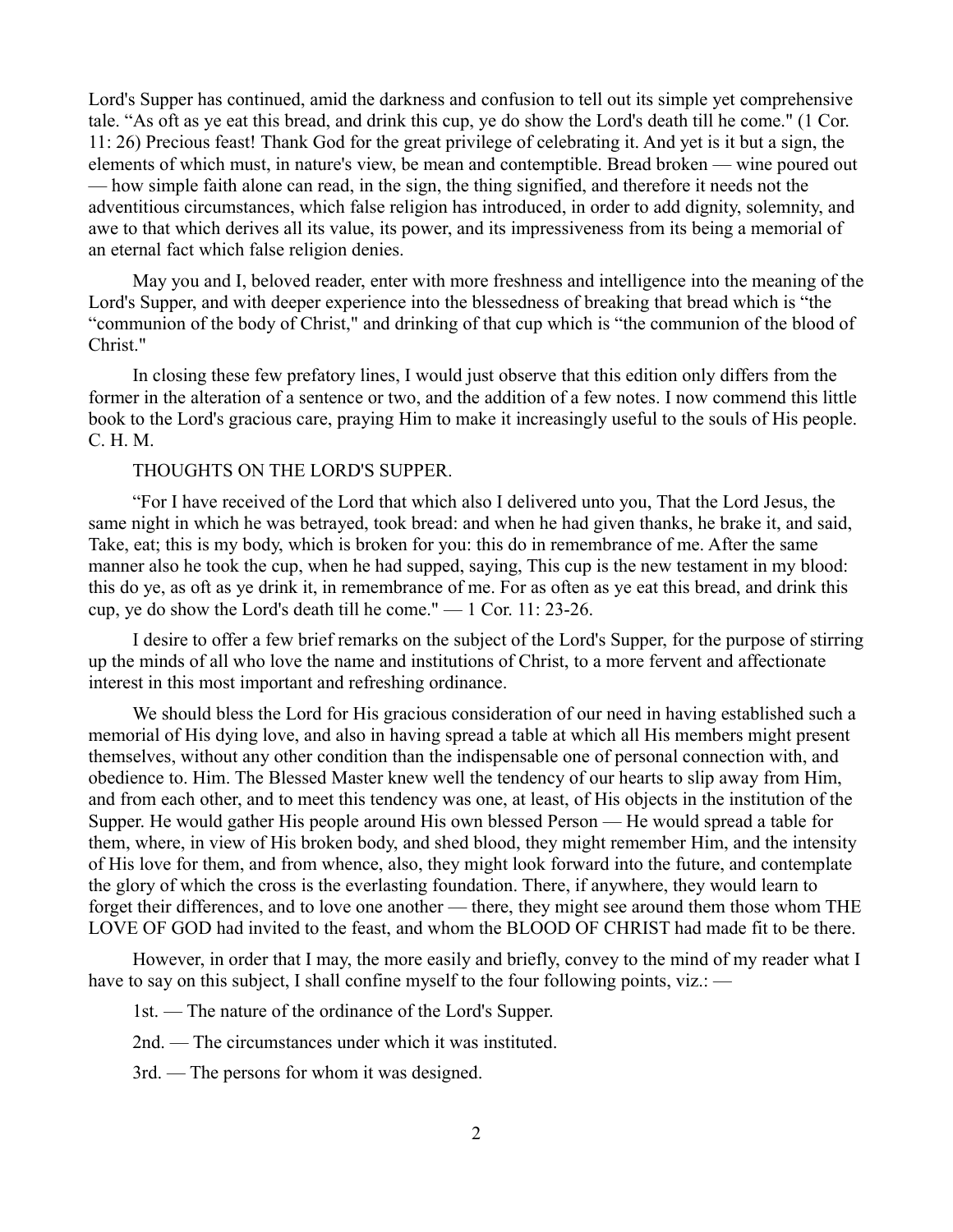Lord's Supper has continued, amid the darkness and confusion to tell out its simple yet comprehensive tale. "As oft as ye eat this bread, and drink this cup, ye do show the Lord's death till he come." (1 Cor. 11: 26) Precious feast! Thank God for the great privilege of celebrating it. And yet is it but a sign, the elements of which must, in nature's view, be mean and contemptible. Bread broken — wine poured out — how simple faith alone can read, in the sign, the thing signified, and therefore it needs not the adventitious circumstances, which false religion has introduced, in order to add dignity, solemnity, and awe to that which derives all its value, its power, and its impressiveness from its being a memorial of an eternal fact which false religion denies.

May you and I, beloved reader, enter with more freshness and intelligence into the meaning of the Lord's Supper, and with deeper experience into the blessedness of breaking that bread which is "the "communion of the body of Christ," and drinking of that cup which is "the communion of the blood of Christ."

In closing these few prefatory lines, I would just observe that this edition only differs from the former in the alteration of a sentence or two, and the addition of a few notes. I now commend this little book to the Lord's gracious care, praying Him to make it increasingly useful to the souls of His people. C. H. M.

## THOUGHTS ON THE LORD'S SUPPER.

"For I have received of the Lord that which also I delivered unto you, That the Lord Jesus, the same night in which he was betrayed, took bread: and when he had given thanks, he brake it, and said, Take, eat; this is my body, which is broken for you: this do in remembrance of me. After the same manner also he took the cup, when he had supped, saying, This cup is the new testament in my blood: this do ye, as oft as ye drink it, in remembrance of me. For as often as ye eat this bread, and drink this cup, ye do show the Lord's death till he come." — 1 Cor. 11: 23-26.

I desire to offer a few brief remarks on the subject of the Lord's Supper, for the purpose of stirring up the minds of all who love the name and institutions of Christ, to a more fervent and affectionate interest in this most important and refreshing ordinance.

We should bless the Lord for His gracious consideration of our need in having established such a memorial of His dying love, and also in having spread a table at which all His members might present themselves, without any other condition than the indispensable one of personal connection with, and obedience to. Him. The Blessed Master knew well the tendency of our hearts to slip away from Him, and from each other, and to meet this tendency was one, at least, of His objects in the institution of the Supper. He would gather His people around His own blessed Person — He would spread a table for them, where, in view of His broken body, and shed blood, they might remember Him, and the intensity of His love for them, and from whence, also, they might look forward into the future, and contemplate the glory of which the cross is the everlasting foundation. There, if anywhere, they would learn to forget their differences, and to love one another — there, they might see around them those whom THE LOVE OF GOD had invited to the feast, and whom the BLOOD OF CHRIST had made fit to be there.

However, in order that I may, the more easily and briefly, convey to the mind of my reader what I have to say on this subject, I shall confine myself to the four following points, viz.: —

1st. — The nature of the ordinance of the Lord's Supper.

2nd. — The circumstances under which it was instituted.

3rd. — The persons for whom it was designed.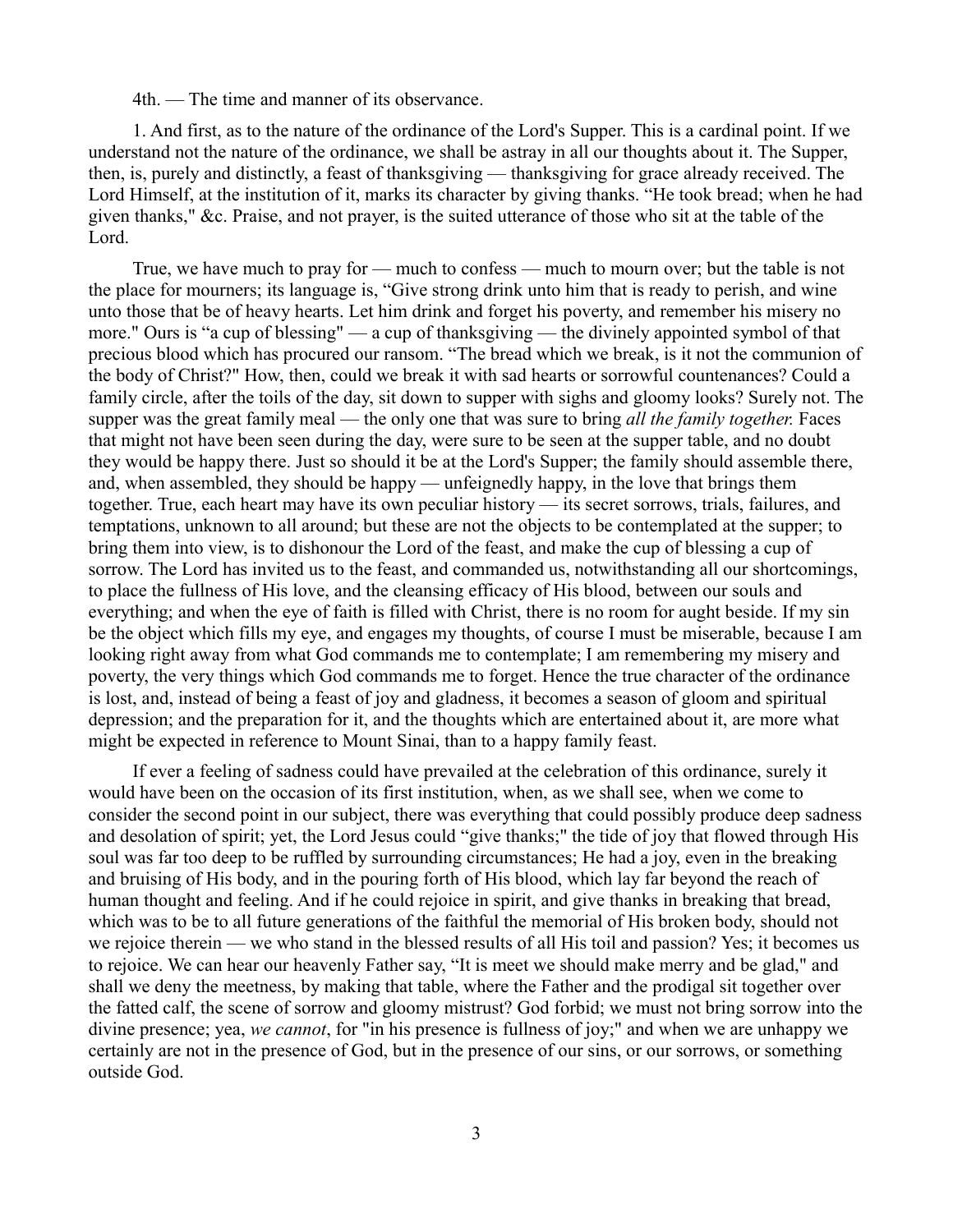4th. — The time and manner of its observance.

1. And first, as to the nature of the ordinance of the Lord's Supper. This is a cardinal point. If we understand not the nature of the ordinance, we shall be astray in all our thoughts about it. The Supper, then, is, purely and distinctly, a feast of thanksgiving — thanksgiving for grace already received. The Lord Himself, at the institution of it, marks its character by giving thanks. "He took bread; when he had given thanks," &c. Praise, and not prayer, is the suited utterance of those who sit at the table of the Lord.

True, we have much to pray for — much to confess — much to mourn over; but the table is not the place for mourners; its language is, "Give strong drink unto him that is ready to perish, and wine unto those that be of heavy hearts. Let him drink and forget his poverty, and remember his misery no more." Ours is "a cup of blessing" — a cup of thanksgiving — the divinely appointed symbol of that precious blood which has procured our ransom. "The bread which we break, is it not the communion of the body of Christ?" How, then, could we break it with sad hearts or sorrowful countenances? Could a family circle, after the toils of the day, sit down to supper with sighs and gloomy looks? Surely not. The supper was the great family meal — the only one that was sure to bring *all the family together.* Faces that might not have been seen during the day, were sure to be seen at the supper table, and no doubt they would be happy there. Just so should it be at the Lord's Supper; the family should assemble there, and, when assembled, they should be happy — unfeignedly happy, in the love that brings them together. True, each heart may have its own peculiar history — its secret sorrows, trials, failures, and temptations, unknown to all around; but these are not the objects to be contemplated at the supper; to bring them into view, is to dishonour the Lord of the feast, and make the cup of blessing a cup of sorrow. The Lord has invited us to the feast, and commanded us, notwithstanding all our shortcomings, to place the fullness of His love, and the cleansing efficacy of His blood, between our souls and everything; and when the eye of faith is filled with Christ, there is no room for aught beside. If my sin be the object which fills my eye, and engages my thoughts, of course I must be miserable, because I am looking right away from what God commands me to contemplate; I am remembering my misery and poverty, the very things which God commands me to forget. Hence the true character of the ordinance is lost, and, instead of being a feast of joy and gladness, it becomes a season of gloom and spiritual depression; and the preparation for it, and the thoughts which are entertained about it, are more what might be expected in reference to Mount Sinai, than to a happy family feast.

If ever a feeling of sadness could have prevailed at the celebration of this ordinance, surely it would have been on the occasion of its first institution, when, as we shall see, when we come to consider the second point in our subject, there was everything that could possibly produce deep sadness and desolation of spirit; yet, the Lord Jesus could "give thanks;" the tide of joy that flowed through His soul was far too deep to be ruffled by surrounding circumstances; He had a joy, even in the breaking and bruising of His body, and in the pouring forth of His blood, which lay far beyond the reach of human thought and feeling. And if he could rejoice in spirit, and give thanks in breaking that bread, which was to be to all future generations of the faithful the memorial of His broken body, should not we rejoice therein — we who stand in the blessed results of all His toil and passion? Yes; it becomes us to rejoice. We can hear our heavenly Father say, "It is meet we should make merry and be glad," and shall we deny the meetness, by making that table, where the Father and the prodigal sit together over the fatted calf, the scene of sorrow and gloomy mistrust? God forbid; we must not bring sorrow into the divine presence; yea, *we cannot*, for "in his presence is fullness of joy;" and when we are unhappy we certainly are not in the presence of God, but in the presence of our sins, or our sorrows, or something outside God.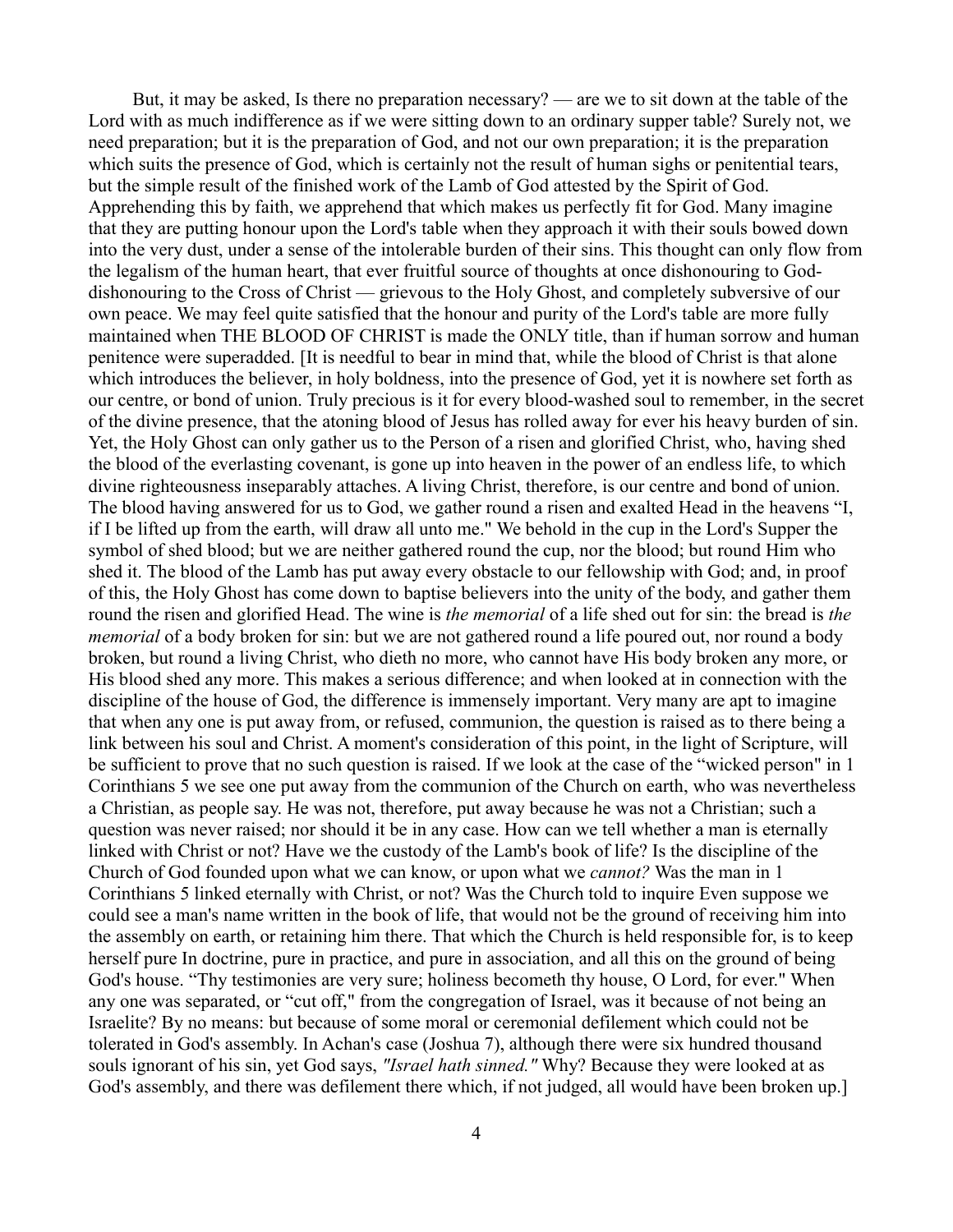But, it may be asked, Is there no preparation necessary? — are we to sit down at the table of the Lord with as much indifference as if we were sitting down to an ordinary supper table? Surely not, we need preparation; but it is the preparation of God, and not our own preparation; it is the preparation which suits the presence of God, which is certainly not the result of human sighs or penitential tears, but the simple result of the finished work of the Lamb of God attested by the Spirit of God. Apprehending this by faith, we apprehend that which makes us perfectly fit for God. Many imagine that they are putting honour upon the Lord's table when they approach it with their souls bowed down into the very dust, under a sense of the intolerable burden of their sins. This thought can only flow from the legalism of the human heart, that ever fruitful source of thoughts at once dishonouring to Goddishonouring to the Cross of Christ — grievous to the Holy Ghost, and completely subversive of our own peace. We may feel quite satisfied that the honour and purity of the Lord's table are more fully maintained when THE BLOOD OF CHRIST is made the ONLY title, than if human sorrow and human penitence were superadded. [It is needful to bear in mind that, while the blood of Christ is that alone which introduces the believer, in holy boldness, into the presence of God, yet it is nowhere set forth as our centre, or bond of union. Truly precious is it for every blood-washed soul to remember, in the secret of the divine presence, that the atoning blood of Jesus has rolled away for ever his heavy burden of sin. Yet, the Holy Ghost can only gather us to the Person of a risen and glorified Christ, who, having shed the blood of the everlasting covenant, is gone up into heaven in the power of an endless life, to which divine righteousness inseparably attaches. A living Christ, therefore, is our centre and bond of union. The blood having answered for us to God, we gather round a risen and exalted Head in the heavens "I, if I be lifted up from the earth, will draw all unto me." We behold in the cup in the Lord's Supper the symbol of shed blood; but we are neither gathered round the cup, nor the blood; but round Him who shed it. The blood of the Lamb has put away every obstacle to our fellowship with God; and, in proof of this, the Holy Ghost has come down to baptise believers into the unity of the body, and gather them round the risen and glorified Head. The wine is *the memorial* of a life shed out for sin: the bread is *the memorial* of a body broken for sin: but we are not gathered round a life poured out, nor round a body broken, but round a living Christ, who dieth no more, who cannot have His body broken any more, or His blood shed any more. This makes a serious difference; and when looked at in connection with the discipline of the house of God, the difference is immensely important. Very many are apt to imagine that when any one is put away from, or refused, communion, the question is raised as to there being a link between his soul and Christ. A moment's consideration of this point, in the light of Scripture, will be sufficient to prove that no such question is raised. If we look at the case of the "wicked person" in 1 Corinthians 5 we see one put away from the communion of the Church on earth, who was nevertheless a Christian, as people say. He was not, therefore, put away because he was not a Christian; such a question was never raised; nor should it be in any case. How can we tell whether a man is eternally linked with Christ or not? Have we the custody of the Lamb's book of life? Is the discipline of the Church of God founded upon what we can know, or upon what we *cannot?* Was the man in 1 Corinthians 5 linked eternally with Christ, or not? Was the Church told to inquire Even suppose we could see a man's name written in the book of life, that would not be the ground of receiving him into the assembly on earth, or retaining him there. That which the Church is held responsible for, is to keep herself pure In doctrine, pure in practice, and pure in association, and all this on the ground of being God's house. "Thy testimonies are very sure; holiness becometh thy house, O Lord, for ever." When any one was separated, or "cut off," from the congregation of Israel, was it because of not being an Israelite? By no means: but because of some moral or ceremonial defilement which could not be tolerated in God's assembly. In Achan's case (Joshua 7), although there were six hundred thousand souls ignorant of his sin, yet God says, *"Israel hath sinned."* Why? Because they were looked at as God's assembly, and there was defilement there which, if not judged, all would have been broken up.]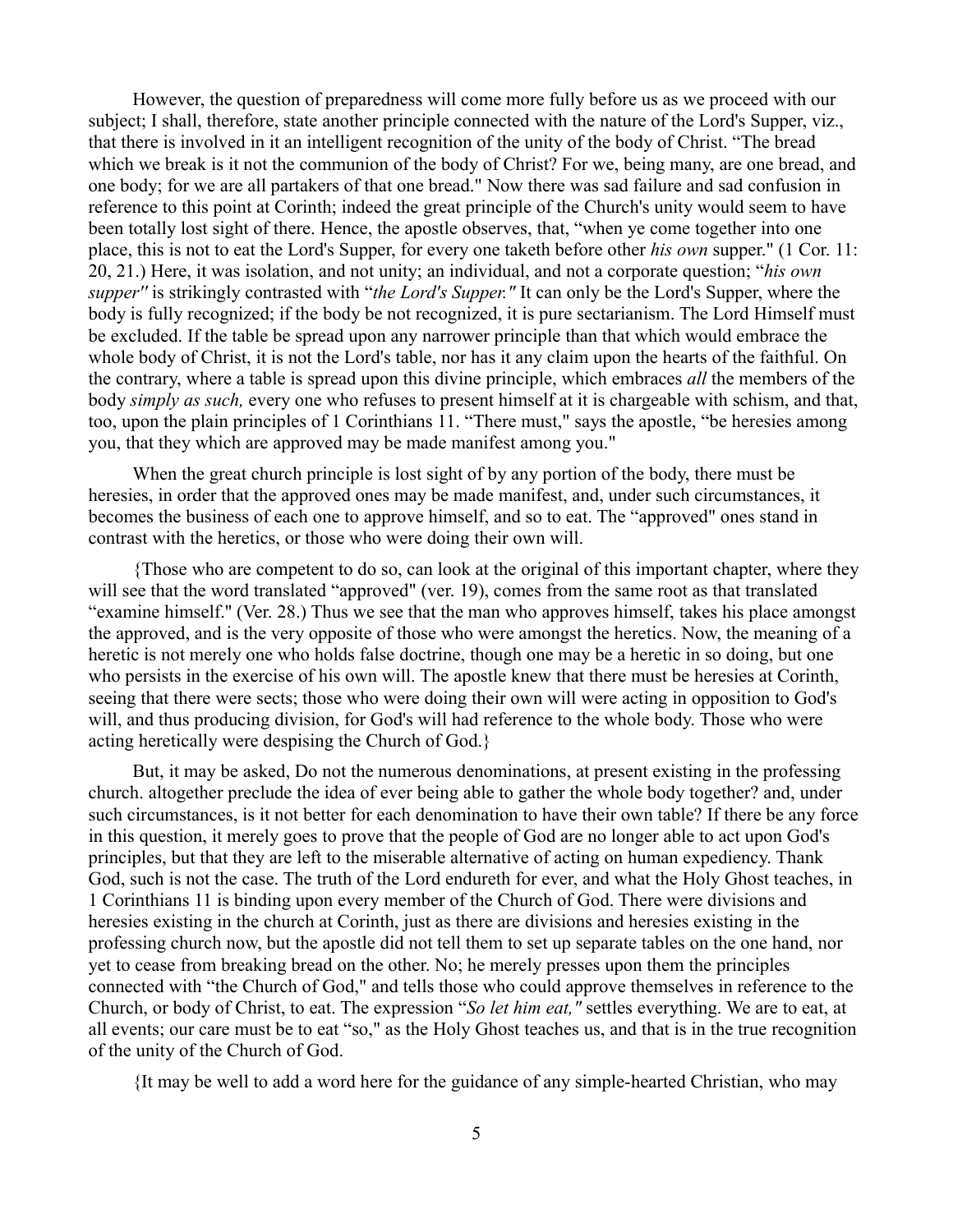However, the question of preparedness will come more fully before us as we proceed with our subject; I shall, therefore, state another principle connected with the nature of the Lord's Supper, viz., that there is involved in it an intelligent recognition of the unity of the body of Christ. "The bread which we break is it not the communion of the body of Christ? For we, being many, are one bread, and one body; for we are all partakers of that one bread." Now there was sad failure and sad confusion in reference to this point at Corinth; indeed the great principle of the Church's unity would seem to have been totally lost sight of there. Hence, the apostle observes, that, "when ye come together into one place, this is not to eat the Lord's Supper, for every one taketh before other *his own* supper." (1 Cor. 11: 20, 21.) Here, it was isolation, and not unity; an individual, and not a corporate question; "*his own supper''* is strikingly contrasted with "*the Lord's Supper."* It can only be the Lord's Supper, where the body is fully recognized; if the body be not recognized, it is pure sectarianism. The Lord Himself must be excluded. If the table be spread upon any narrower principle than that which would embrace the whole body of Christ, it is not the Lord's table, nor has it any claim upon the hearts of the faithful. On the contrary, where a table is spread upon this divine principle, which embraces *all* the members of the body *simply as such,* every one who refuses to present himself at it is chargeable with schism, and that, too, upon the plain principles of 1 Corinthians 11. "There must," says the apostle, "be heresies among you, that they which are approved may be made manifest among you."

When the great church principle is lost sight of by any portion of the body, there must be heresies, in order that the approved ones may be made manifest, and, under such circumstances, it becomes the business of each one to approve himself, and so to eat. The "approved" ones stand in contrast with the heretics, or those who were doing their own will.

{Those who are competent to do so, can look at the original of this important chapter, where they will see that the word translated "approved" (ver. 19), comes from the same root as that translated "examine himself.'' (Ver. 28.) Thus we see that the man who approves himself, takes his place amongst the approved, and is the very opposite of those who were amongst the heretics. Now, the meaning of a heretic is not merely one who holds false doctrine, though one may be a heretic in so doing, but one who persists in the exercise of his own will. The apostle knew that there must be heresies at Corinth, seeing that there were sects; those who were doing their own will were acting in opposition to God's will, and thus producing division, for God's will had reference to the whole body. Those who were acting heretically were despising the Church of God.}

But, it may be asked, Do not the numerous denominations, at present existing in the professing church. altogether preclude the idea of ever being able to gather the whole body together? and, under such circumstances, is it not better for each denomination to have their own table? If there be any force in this question, it merely goes to prove that the people of God are no longer able to act upon God's principles, but that they are left to the miserable alternative of acting on human expediency. Thank God, such is not the case. The truth of the Lord endureth for ever, and what the Holy Ghost teaches, in 1 Corinthians 11 is binding upon every member of the Church of God. There were divisions and heresies existing in the church at Corinth, just as there are divisions and heresies existing in the professing church now, but the apostle did not tell them to set up separate tables on the one hand, nor yet to cease from breaking bread on the other. No; he merely presses upon them the principles connected with "the Church of God," and tells those who could approve themselves in reference to the Church, or body of Christ, to eat. The expression "*So let him eat,"* settles everything. We are to eat, at all events; our care must be to eat "so," as the Holy Ghost teaches us, and that is in the true recognition of the unity of the Church of God.

{It may be well to add a word here for the guidance of any simple-hearted Christian, who may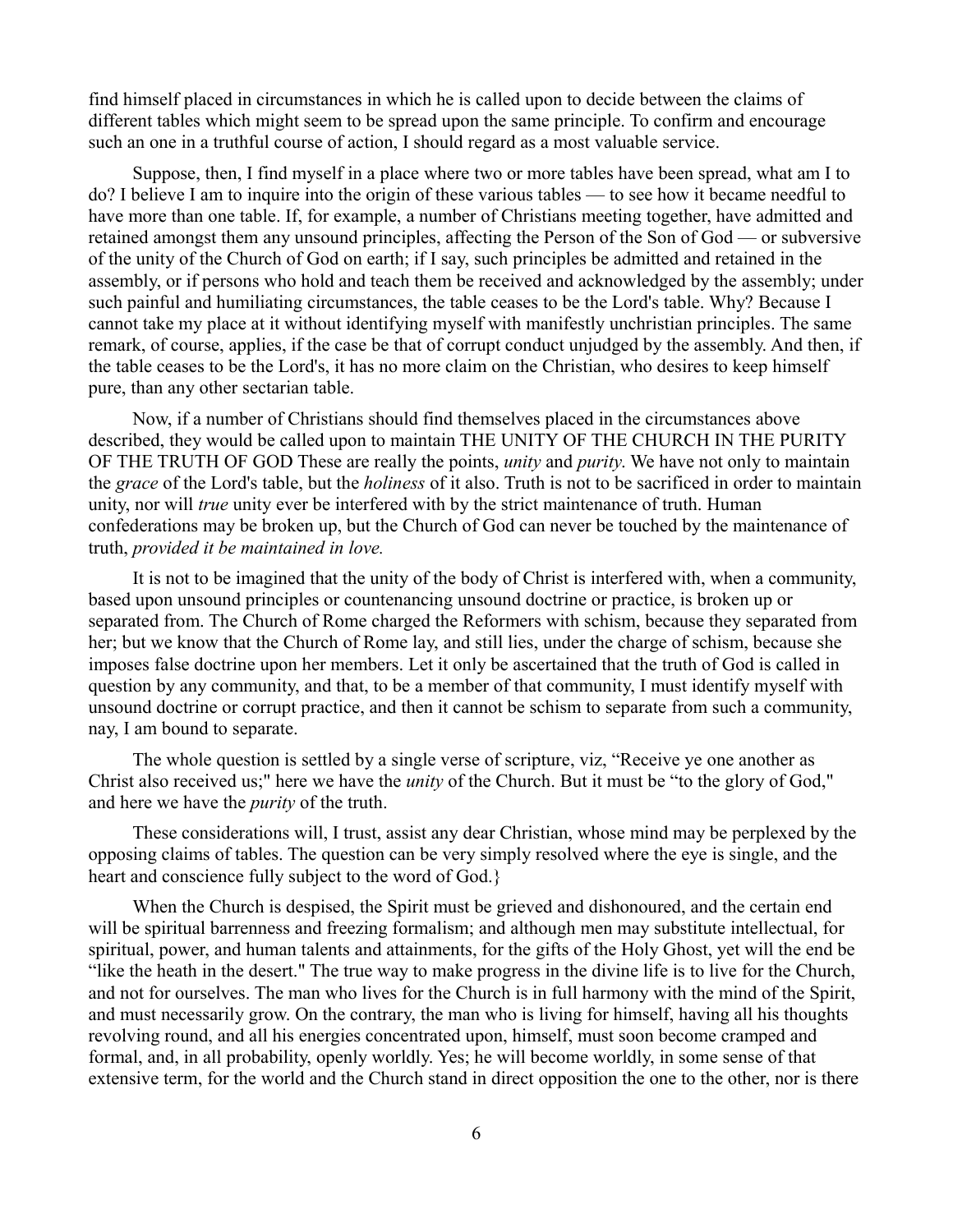find himself placed in circumstances in which he is called upon to decide between the claims of different tables which might seem to be spread upon the same principle. To confirm and encourage such an one in a truthful course of action, I should regard as a most valuable service.

Suppose, then, I find myself in a place where two or more tables have been spread, what am I to do? I believe I am to inquire into the origin of these various tables — to see how it became needful to have more than one table. If, for example, a number of Christians meeting together, have admitted and retained amongst them any unsound principles, affecting the Person of the Son of God — or subversive of the unity of the Church of God on earth; if I say, such principles be admitted and retained in the assembly, or if persons who hold and teach them be received and acknowledged by the assembly; under such painful and humiliating circumstances, the table ceases to be the Lord's table. Why? Because I cannot take my place at it without identifying myself with manifestly unchristian principles. The same remark, of course, applies, if the case be that of corrupt conduct unjudged by the assembly. And then, if the table ceases to be the Lord's, it has no more claim on the Christian, who desires to keep himself pure, than any other sectarian table.

Now, if a number of Christians should find themselves placed in the circumstances above described, they would be called upon to maintain THE UNITY OF THE CHURCH IN THE PURITY OF THE TRUTH OF GOD These are really the points, *unity* and *purity*. We have not only to maintain the *grace* of the Lord's table, but the *holiness* of it also. Truth is not to be sacrificed in order to maintain unity, nor will *true* unity ever be interfered with by the strict maintenance of truth. Human confederations may be broken up, but the Church of God can never be touched by the maintenance of truth, *provided it be maintained in love.*

It is not to be imagined that the unity of the body of Christ is interfered with, when a community, based upon unsound principles or countenancing unsound doctrine or practice, is broken up or separated from. The Church of Rome charged the Reformers with schism, because they separated from her; but we know that the Church of Rome lay, and still lies, under the charge of schism, because she imposes false doctrine upon her members. Let it only be ascertained that the truth of God is called in question by any community, and that, to be a member of that community, I must identify myself with unsound doctrine or corrupt practice, and then it cannot be schism to separate from such a community, nay, I am bound to separate.

The whole question is settled by a single verse of scripture, viz, "Receive ye one another as Christ also received us;" here we have the *unity* of the Church. But it must be "to the glory of God," and here we have the *purity* of the truth.

These considerations will, I trust, assist any dear Christian, whose mind may be perplexed by the opposing claims of tables. The question can be very simply resolved where the eye is single, and the heart and conscience fully subject to the word of God.}

When the Church is despised, the Spirit must be grieved and dishonoured, and the certain end will be spiritual barrenness and freezing formalism; and although men may substitute intellectual, for spiritual, power, and human talents and attainments, for the gifts of the Holy Ghost, yet will the end be "like the heath in the desert." The true way to make progress in the divine life is to live for the Church, and not for ourselves. The man who lives for the Church is in full harmony with the mind of the Spirit, and must necessarily grow. On the contrary, the man who is living for himself, having all his thoughts revolving round, and all his energies concentrated upon, himself, must soon become cramped and formal, and, in all probability, openly worldly. Yes; he will become worldly, in some sense of that extensive term, for the world and the Church stand in direct opposition the one to the other, nor is there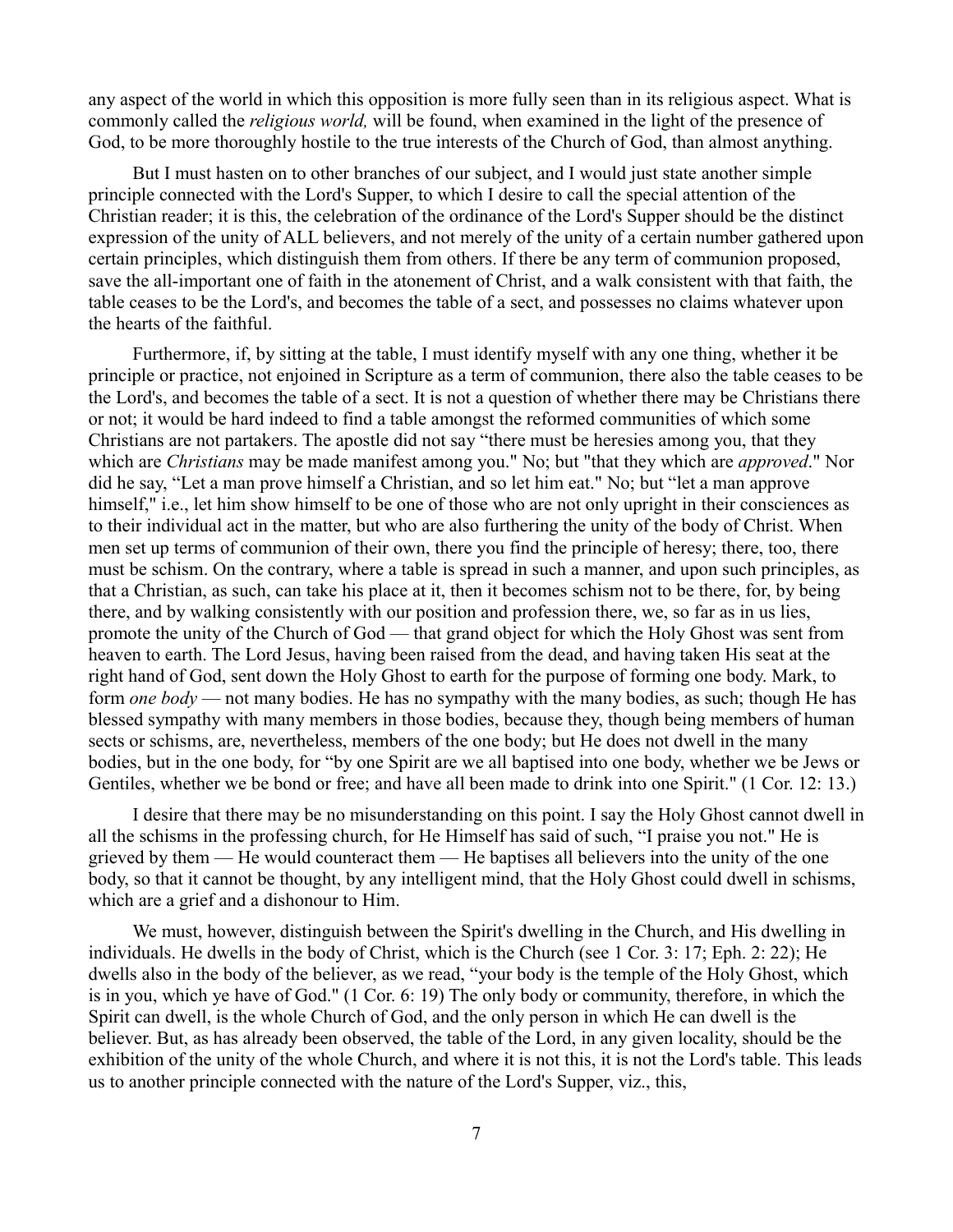any aspect of the world in which this opposition is more fully seen than in its religious aspect. What is commonly called the *religious world,* will be found, when examined in the light of the presence of God, to be more thoroughly hostile to the true interests of the Church of God, than almost anything.

But I must hasten on to other branches of our subject, and I would just state another simple principle connected with the Lord's Supper, to which I desire to call the special attention of the Christian reader; it is this, the celebration of the ordinance of the Lord's Supper should be the distinct expression of the unity of ALL believers, and not merely of the unity of a certain number gathered upon certain principles, which distinguish them from others. If there be any term of communion proposed, save the all-important one of faith in the atonement of Christ, and a walk consistent with that faith, the table ceases to be the Lord's, and becomes the table of a sect, and possesses no claims whatever upon the hearts of the faithful.

Furthermore, if, by sitting at the table, I must identify myself with any one thing, whether it be principle or practice, not enjoined in Scripture as a term of communion, there also the table ceases to be the Lord's, and becomes the table of a sect. It is not a question of whether there may be Christians there or not; it would be hard indeed to find a table amongst the reformed communities of which some Christians are not partakers. The apostle did not say "there must be heresies among you, that they which are *Christians* may be made manifest among you." No; but "that they which are *approved*." Nor did he say, "Let a man prove himself a Christian, and so let him eat." No; but "let a man approve himself," i.e., let him show himself to be one of those who are not only upright in their consciences as to their individual act in the matter, but who are also furthering the unity of the body of Christ. When men set up terms of communion of their own, there you find the principle of heresy; there, too, there must be schism. On the contrary, where a table is spread in such a manner, and upon such principles, as that a Christian, as such, can take his place at it, then it becomes schism not to be there, for, by being there, and by walking consistently with our position and profession there, we, so far as in us lies, promote the unity of the Church of God — that grand object for which the Holy Ghost was sent from heaven to earth. The Lord Jesus, having been raised from the dead, and having taken His seat at the right hand of God, sent down the Holy Ghost to earth for the purpose of forming one body. Mark, to form *one body* — not many bodies. He has no sympathy with the many bodies, as such; though He has blessed sympathy with many members in those bodies, because they, though being members of human sects or schisms, are, nevertheless, members of the one body; but He does not dwell in the many bodies, but in the one body, for "by one Spirit are we all baptised into one body, whether we be Jews or Gentiles, whether we be bond or free; and have all been made to drink into one Spirit." (1 Cor. 12: 13.)

I desire that there may be no misunderstanding on this point. I say the Holy Ghost cannot dwell in all the schisms in the professing church, for He Himself has said of such, "I praise you not." He is grieved by them — He would counteract them — He baptises all believers into the unity of the one body, so that it cannot be thought, by any intelligent mind, that the Holy Ghost could dwell in schisms, which are a grief and a dishonour to Him.

We must, however, distinguish between the Spirit's dwelling in the Church, and His dwelling in individuals. He dwells in the body of Christ, which is the Church (see 1 Cor. 3: 17; Eph. 2: 22); He dwells also in the body of the believer, as we read, "your body is the temple of the Holy Ghost, which is in you, which ye have of God." (1 Cor. 6: 19) The only body or community, therefore, in which the Spirit can dwell, is the whole Church of God, and the only person in which He can dwell is the believer. But, as has already been observed, the table of the Lord, in any given locality, should be the exhibition of the unity of the whole Church, and where it is not this, it is not the Lord's table. This leads us to another principle connected with the nature of the Lord's Supper, viz., this,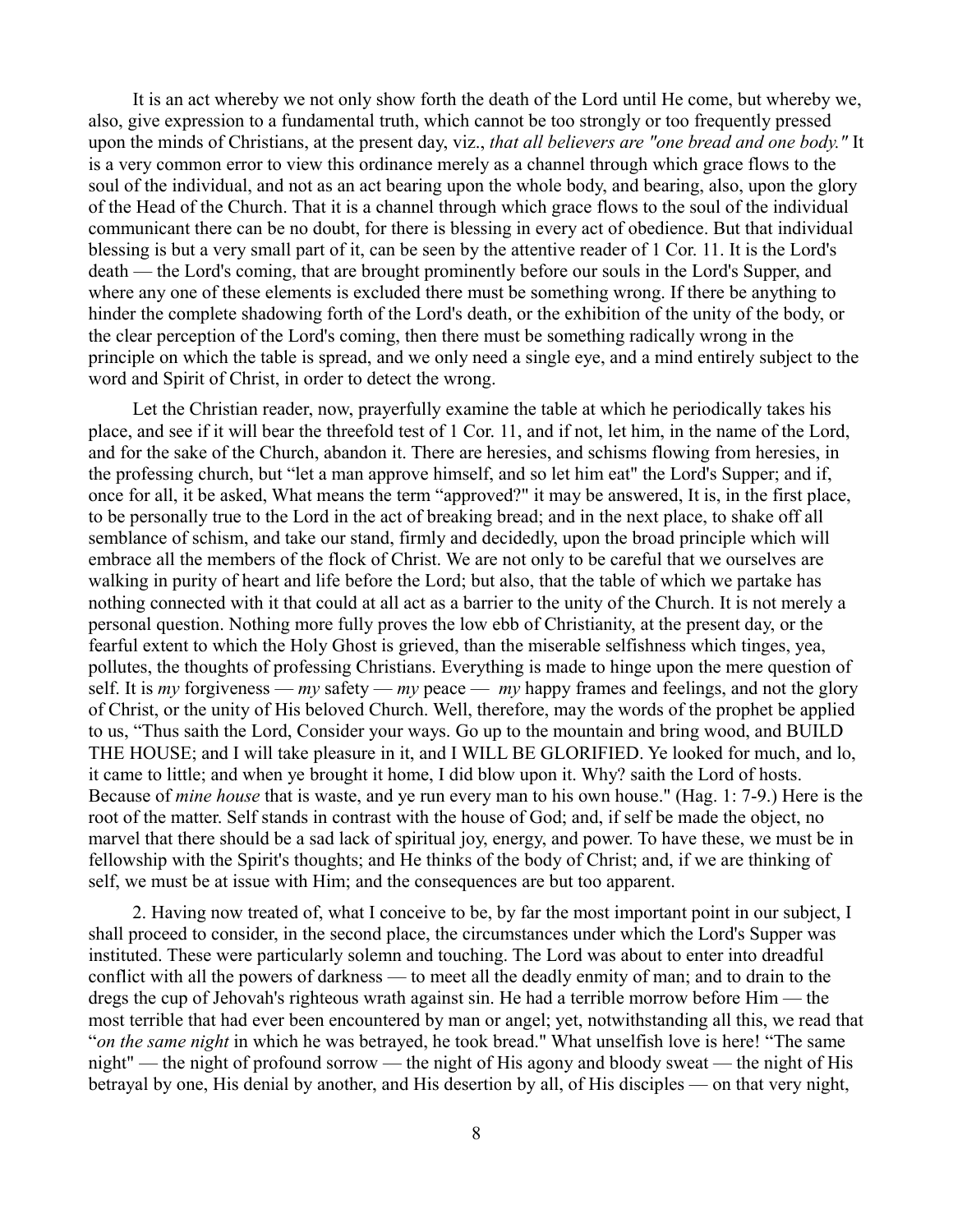It is an act whereby we not only show forth the death of the Lord until He come, but whereby we, also, give expression to a fundamental truth, which cannot be too strongly or too frequently pressed upon the minds of Christians, at the present day, viz., *that all believers are "one bread and one body."* It is a very common error to view this ordinance merely as a channel through which grace flows to the soul of the individual, and not as an act bearing upon the whole body, and bearing, also, upon the glory of the Head of the Church. That it is a channel through which grace flows to the soul of the individual communicant there can be no doubt, for there is blessing in every act of obedience. But that individual blessing is but a very small part of it, can be seen by the attentive reader of 1 Cor. 11. It is the Lord's death — the Lord's coming, that are brought prominently before our souls in the Lord's Supper, and where any one of these elements is excluded there must be something wrong. If there be anything to hinder the complete shadowing forth of the Lord's death, or the exhibition of the unity of the body, or the clear perception of the Lord's coming, then there must be something radically wrong in the principle on which the table is spread, and we only need a single eye, and a mind entirely subject to the word and Spirit of Christ, in order to detect the wrong.

Let the Christian reader, now, prayerfully examine the table at which he periodically takes his place, and see if it will bear the threefold test of 1 Cor. 11, and if not, let him, in the name of the Lord, and for the sake of the Church, abandon it. There are heresies, and schisms flowing from heresies, in the professing church, but "let a man approve himself, and so let him eat" the Lord's Supper; and if, once for all, it be asked, What means the term "approved?" it may be answered, It is, in the first place, to be personally true to the Lord in the act of breaking bread; and in the next place, to shake off all semblance of schism, and take our stand, firmly and decidedly, upon the broad principle which will embrace all the members of the flock of Christ. We are not only to be careful that we ourselves are walking in purity of heart and life before the Lord; but also, that the table of which we partake has nothing connected with it that could at all act as a barrier to the unity of the Church. It is not merely a personal question. Nothing more fully proves the low ebb of Christianity, at the present day, or the fearful extent to which the Holy Ghost is grieved, than the miserable selfishness which tinges, yea, pollutes, the thoughts of professing Christians. Everything is made to hinge upon the mere question of self. It is *my* forgiveness — *my* safety — *my* peace — *my* happy frames and feelings, and not the glory of Christ, or the unity of His beloved Church. Well, therefore, may the words of the prophet be applied to us, "Thus saith the Lord, Consider your ways. Go up to the mountain and bring wood, and BUILD THE HOUSE; and I will take pleasure in it, and I WILL BE GLORIFIED. Ye looked for much, and lo, it came to little; and when ye brought it home, I did blow upon it. Why? saith the Lord of hosts. Because of *mine house* that is waste, and ye run every man to his own house." (Hag. 1: 7-9.) Here is the root of the matter. Self stands in contrast with the house of God; and, if self be made the object, no marvel that there should be a sad lack of spiritual joy, energy, and power. To have these, we must be in fellowship with the Spirit's thoughts; and He thinks of the body of Christ; and, if we are thinking of self, we must be at issue with Him; and the consequences are but too apparent.

2. Having now treated of, what I conceive to be, by far the most important point in our subject, I shall proceed to consider, in the second place, the circumstances under which the Lord's Supper was instituted. These were particularly solemn and touching. The Lord was about to enter into dreadful conflict with all the powers of darkness — to meet all the deadly enmity of man; and to drain to the dregs the cup of Jehovah's righteous wrath against sin. He had a terrible morrow before Him — the most terrible that had ever been encountered by man or angel; yet, notwithstanding all this, we read that "*on the same night* in which he was betrayed, he took bread." What unselfish love is here! "The same night" — the night of profound sorrow — the night of His agony and bloody sweat — the night of His betrayal by one, His denial by another, and His desertion by all, of His disciples — on that very night,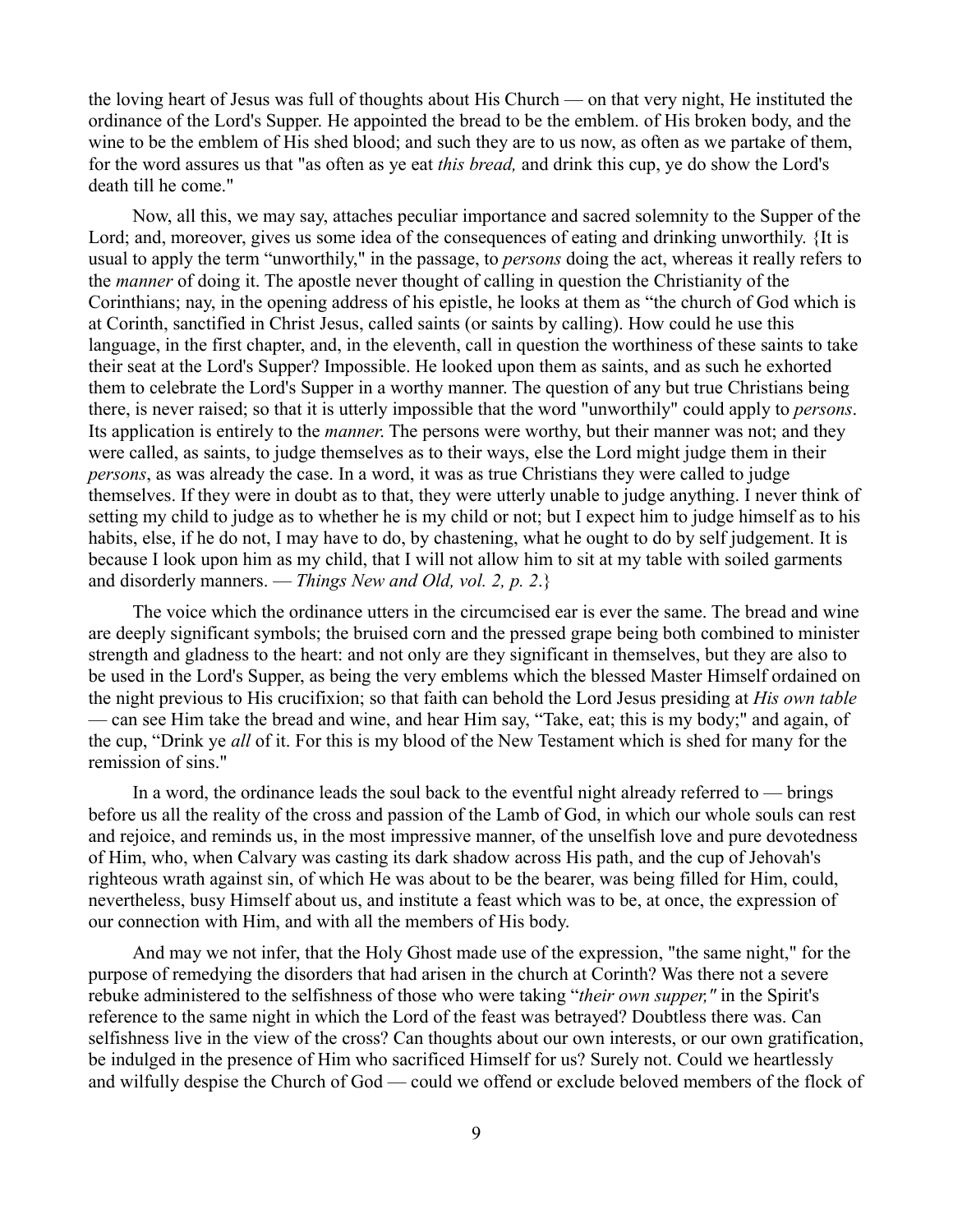the loving heart of Jesus was full of thoughts about His Church — on that very night, He instituted the ordinance of the Lord's Supper. He appointed the bread to be the emblem. of His broken body, and the wine to be the emblem of His shed blood; and such they are to us now, as often as we partake of them, for the word assures us that "as often as ye eat *this bread,* and drink this cup, ye do show the Lord's death till he come."

Now, all this, we may say, attaches peculiar importance and sacred solemnity to the Supper of the Lord; and, moreover, gives us some idea of the consequences of eating and drinking unworthily. {It is usual to apply the term "unworthily," in the passage, to *persons* doing the act, whereas it really refers to the *manner* of doing it. The apostle never thought of calling in question the Christianity of the Corinthians; nay, in the opening address of his epistle, he looks at them as "the church of God which is at Corinth, sanctified in Christ Jesus, called saints (or saints by calling). How could he use this language, in the first chapter, and, in the eleventh, call in question the worthiness of these saints to take their seat at the Lord's Supper? Impossible. He looked upon them as saints, and as such he exhorted them to celebrate the Lord's Supper in a worthy manner. The question of any but true Christians being there, is never raised; so that it is utterly impossible that the word "unworthily" could apply to *persons*. Its application is entirely to the *manner*. The persons were worthy, but their manner was not; and they were called, as saints, to judge themselves as to their ways, else the Lord might judge them in their *persons*, as was already the case. In a word, it was as true Christians they were called to judge themselves. If they were in doubt as to that, they were utterly unable to judge anything. I never think of setting my child to judge as to whether he is my child or not; but I expect him to judge himself as to his habits, else, if he do not, I may have to do, by chastening, what he ought to do by self judgement. It is because I look upon him as my child, that I will not allow him to sit at my table with soiled garments and disorderly manners. — *Things New and Old, vol. 2, p. 2*.}

The voice which the ordinance utters in the circumcised ear is ever the same. The bread and wine are deeply significant symbols; the bruised corn and the pressed grape being both combined to minister strength and gladness to the heart: and not only are they significant in themselves, but they are also to be used in the Lord's Supper, as being the very emblems which the blessed Master Himself ordained on the night previous to His crucifixion; so that faith can behold the Lord Jesus presiding at *His own table* — can see Him take the bread and wine, and hear Him say, "Take, eat; this is my body;" and again, of the cup, "Drink ye *all* of it. For this is my blood of the New Testament which is shed for many for the remission of sins."

In a word, the ordinance leads the soul back to the eventful night already referred to  $-$  brings before us all the reality of the cross and passion of the Lamb of God, in which our whole souls can rest and rejoice, and reminds us, in the most impressive manner, of the unselfish love and pure devotedness of Him, who, when Calvary was casting its dark shadow across His path, and the cup of Jehovah's righteous wrath against sin, of which He was about to be the bearer, was being filled for Him, could, nevertheless, busy Himself about us, and institute a feast which was to be, at once, the expression of our connection with Him, and with all the members of His body.

And may we not infer, that the Holy Ghost made use of the expression, "the same night," for the purpose of remedying the disorders that had arisen in the church at Corinth? Was there not a severe rebuke administered to the selfishness of those who were taking "*their own supper,"* in the Spirit's reference to the same night in which the Lord of the feast was betrayed? Doubtless there was. Can selfishness live in the view of the cross? Can thoughts about our own interests, or our own gratification, be indulged in the presence of Him who sacrificed Himself for us? Surely not. Could we heartlessly and wilfully despise the Church of God — could we offend or exclude beloved members of the flock of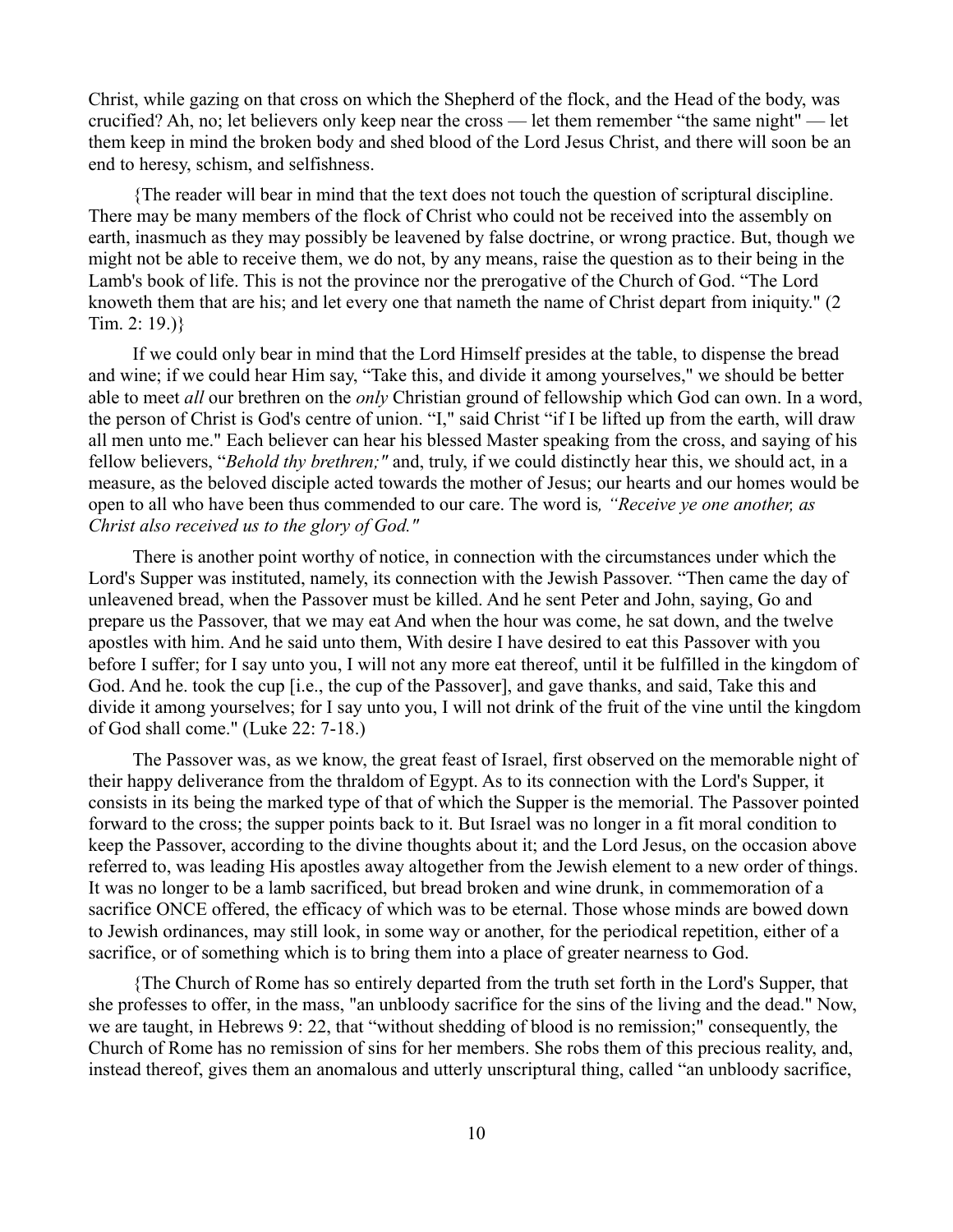Christ, while gazing on that cross on which the Shepherd of the flock, and the Head of the body, was crucified? Ah, no; let believers only keep near the cross — let them remember "the same night" — let them keep in mind the broken body and shed blood of the Lord Jesus Christ, and there will soon be an end to heresy, schism, and selfishness.

{The reader will bear in mind that the text does not touch the question of scriptural discipline. There may be many members of the flock of Christ who could not be received into the assembly on earth, inasmuch as they may possibly be leavened by false doctrine, or wrong practice. But, though we might not be able to receive them, we do not, by any means, raise the question as to their being in the Lamb's book of life. This is not the province nor the prerogative of the Church of God. "The Lord knoweth them that are his; and let every one that nameth the name of Christ depart from iniquity." (2 Tim. 2: 19.)}

If we could only bear in mind that the Lord Himself presides at the table, to dispense the bread and wine; if we could hear Him say, "Take this, and divide it among yourselves," we should be better able to meet *all* our brethren on the *only* Christian ground of fellowship which God can own. In a word, the person of Christ is God's centre of union. "I," said Christ "if I be lifted up from the earth, will draw all men unto me." Each believer can hear his blessed Master speaking from the cross, and saying of his fellow believers, "*Behold thy brethren;"* and, truly, if we could distinctly hear this, we should act, in a measure, as the beloved disciple acted towards the mother of Jesus; our hearts and our homes would be open to all who have been thus commended to our care. The word is*, "Receive ye one another, as Christ also received us to the glory of God."*

There is another point worthy of notice, in connection with the circumstances under which the Lord's Supper was instituted, namely, its connection with the Jewish Passover. "Then came the day of unleavened bread, when the Passover must be killed. And he sent Peter and John, saying, Go and prepare us the Passover, that we may eat And when the hour was come, he sat down, and the twelve apostles with him. And he said unto them, With desire I have desired to eat this Passover with you before I suffer; for I say unto you, I will not any more eat thereof, until it be fulfilled in the kingdom of God. And he. took the cup [i.e., the cup of the Passover], and gave thanks, and said, Take this and divide it among yourselves; for I say unto you, I will not drink of the fruit of the vine until the kingdom of God shall come." (Luke 22: 7-18.)

The Passover was, as we know, the great feast of Israel, first observed on the memorable night of their happy deliverance from the thraldom of Egypt. As to its connection with the Lord's Supper, it consists in its being the marked type of that of which the Supper is the memorial. The Passover pointed forward to the cross; the supper points back to it. But Israel was no longer in a fit moral condition to keep the Passover, according to the divine thoughts about it; and the Lord Jesus, on the occasion above referred to, was leading His apostles away altogether from the Jewish element to a new order of things. It was no longer to be a lamb sacrificed, but bread broken and wine drunk, in commemoration of a sacrifice ONCE offered, the efficacy of which was to be eternal. Those whose minds are bowed down to Jewish ordinances, may still look, in some way or another, for the periodical repetition, either of a sacrifice, or of something which is to bring them into a place of greater nearness to God.

{The Church of Rome has so entirely departed from the truth set forth in the Lord's Supper, that she professes to offer, in the mass, "an unbloody sacrifice for the sins of the living and the dead." Now, we are taught, in Hebrews 9: 22, that "without shedding of blood is no remission;" consequently, the Church of Rome has no remission of sins for her members. She robs them of this precious reality, and, instead thereof, gives them an anomalous and utterly unscriptural thing, called "an unbloody sacrifice,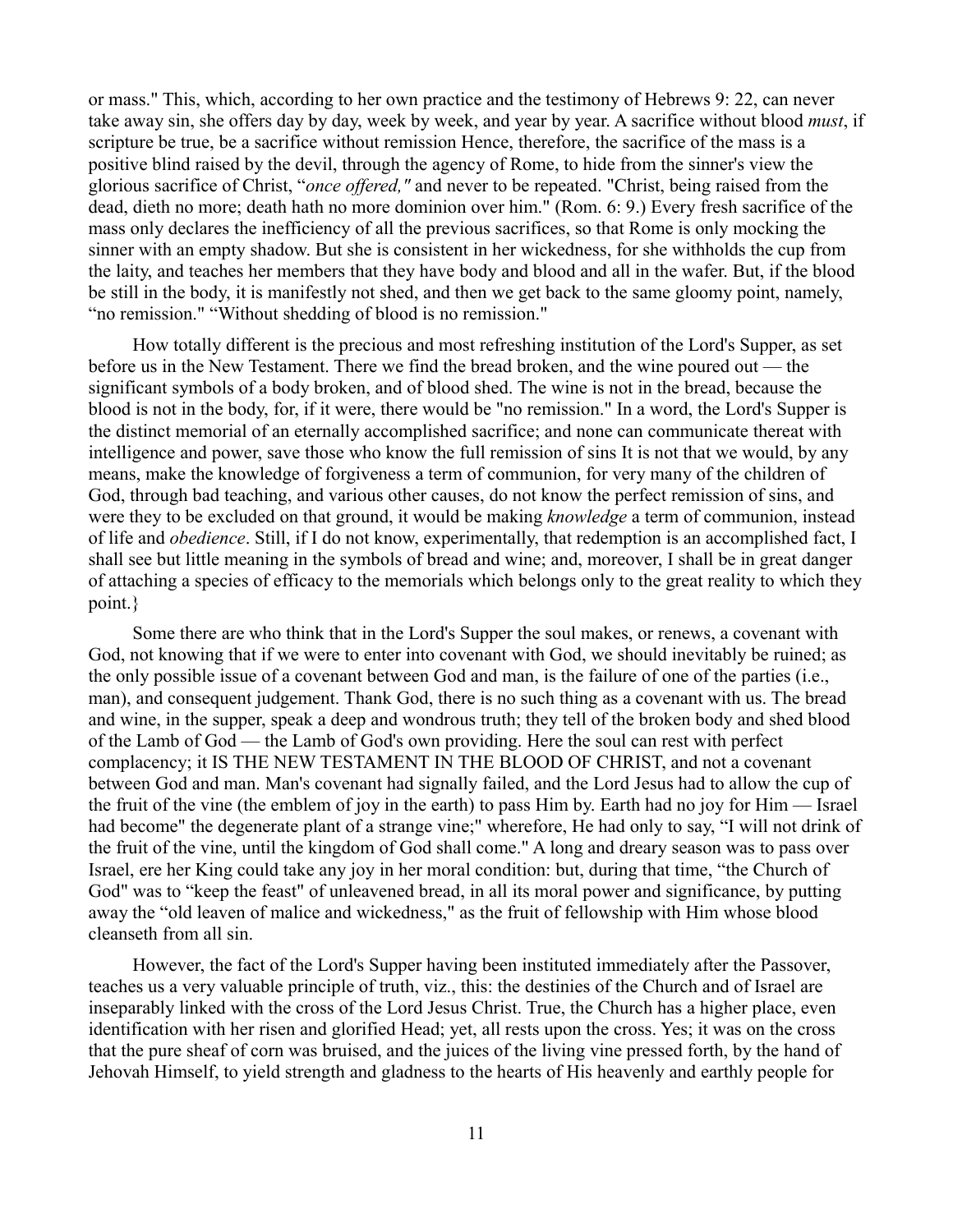or mass." This, which, according to her own practice and the testimony of Hebrews 9: 22, can never take away sin, she offers day by day, week by week, and year by year. A sacrifice without blood *must*, if scripture be true, be a sacrifice without remission Hence, therefore, the sacrifice of the mass is a positive blind raised by the devil, through the agency of Rome, to hide from the sinner's view the glorious sacrifice of Christ, "*once offered,"* and never to be repeated. "Christ, being raised from the dead, dieth no more; death hath no more dominion over him." (Rom. 6: 9.) Every fresh sacrifice of the mass only declares the inefficiency of all the previous sacrifices, so that Rome is only mocking the sinner with an empty shadow. But she is consistent in her wickedness, for she withholds the cup from the laity, and teaches her members that they have body and blood and all in the wafer. But, if the blood be still in the body, it is manifestly not shed, and then we get back to the same gloomy point, namely, "no remission." "Without shedding of blood is no remission."

How totally different is the precious and most refreshing institution of the Lord's Supper, as set before us in the New Testament. There we find the bread broken, and the wine poured out — the significant symbols of a body broken, and of blood shed. The wine is not in the bread, because the blood is not in the body, for, if it were, there would be "no remission." In a word, the Lord's Supper is the distinct memorial of an eternally accomplished sacrifice; and none can communicate thereat with intelligence and power, save those who know the full remission of sins It is not that we would, by any means, make the knowledge of forgiveness a term of communion, for very many of the children of God, through bad teaching, and various other causes, do not know the perfect remission of sins, and were they to be excluded on that ground, it would be making *knowledge* a term of communion, instead of life and *obedience*. Still, if I do not know, experimentally, that redemption is an accomplished fact, I shall see but little meaning in the symbols of bread and wine; and, moreover, I shall be in great danger of attaching a species of efficacy to the memorials which belongs only to the great reality to which they point.}

Some there are who think that in the Lord's Supper the soul makes, or renews, a covenant with God, not knowing that if we were to enter into covenant with God, we should inevitably be ruined; as the only possible issue of a covenant between God and man, is the failure of one of the parties (i.e., man), and consequent judgement. Thank God, there is no such thing as a covenant with us. The bread and wine, in the supper, speak a deep and wondrous truth; they tell of the broken body and shed blood of the Lamb of God — the Lamb of God's own providing. Here the soul can rest with perfect complacency; it IS THE NEW TESTAMENT IN THE BLOOD OF CHRIST, and not a covenant between God and man. Man's covenant had signally failed, and the Lord Jesus had to allow the cup of the fruit of the vine (the emblem of joy in the earth) to pass Him by. Earth had no joy for Him — Israel had become" the degenerate plant of a strange vine;" wherefore, He had only to say, "I will not drink of the fruit of the vine, until the kingdom of God shall come." A long and dreary season was to pass over Israel, ere her King could take any joy in her moral condition: but, during that time, "the Church of God" was to "keep the feast" of unleavened bread, in all its moral power and significance, by putting away the "old leaven of malice and wickedness," as the fruit of fellowship with Him whose blood cleanseth from all sin.

However, the fact of the Lord's Supper having been instituted immediately after the Passover, teaches us a very valuable principle of truth, viz., this: the destinies of the Church and of Israel are inseparably linked with the cross of the Lord Jesus Christ. True, the Church has a higher place, even identification with her risen and glorified Head; yet, all rests upon the cross. Yes; it was on the cross that the pure sheaf of corn was bruised, and the juices of the living vine pressed forth, by the hand of Jehovah Himself, to yield strength and gladness to the hearts of His heavenly and earthly people for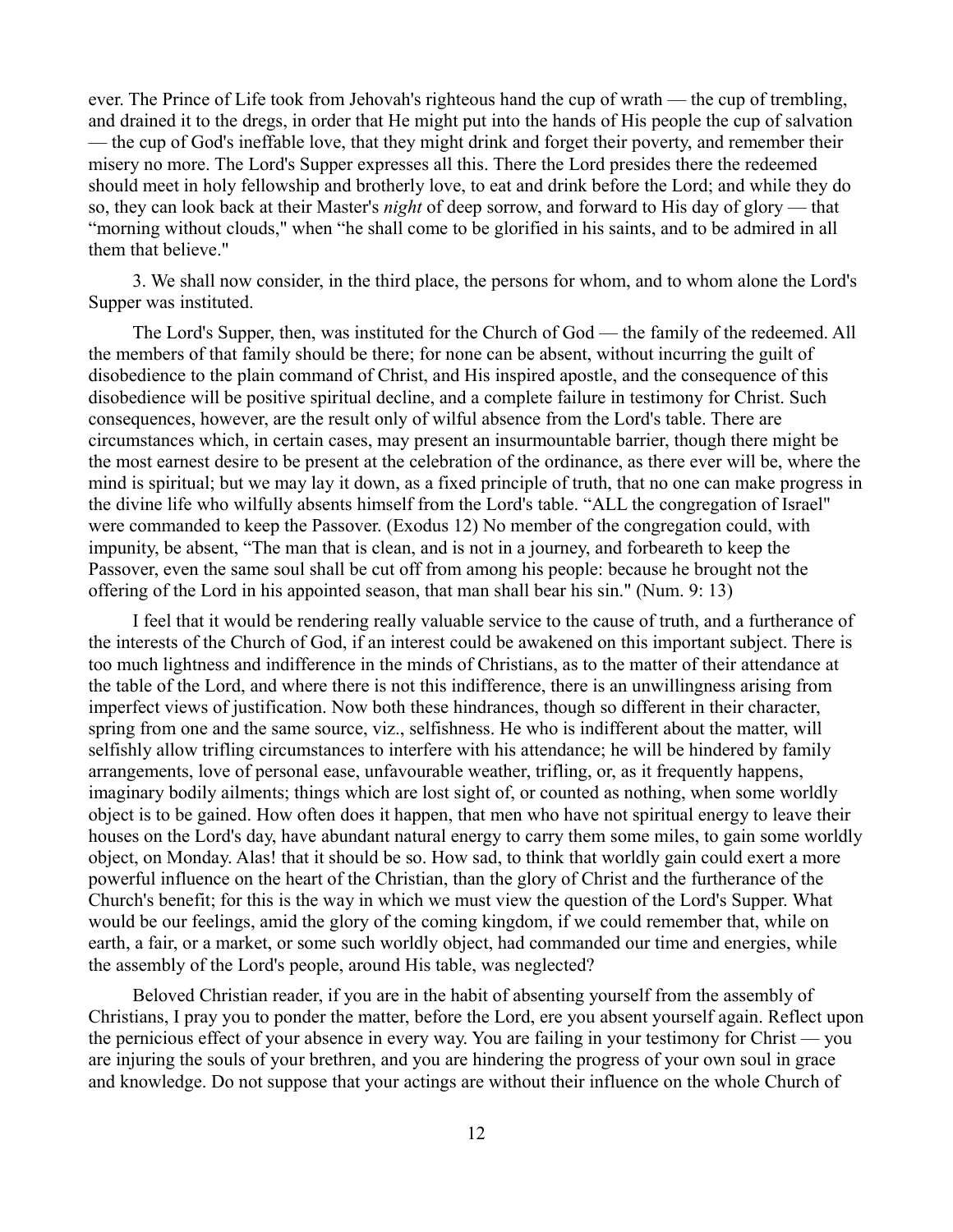ever. The Prince of Life took from Jehovah's righteous hand the cup of wrath — the cup of trembling, and drained it to the dregs, in order that He might put into the hands of His people the cup of salvation — the cup of God's ineffable love, that they might drink and forget their poverty, and remember their misery no more. The Lord's Supper expresses all this. There the Lord presides there the redeemed should meet in holy fellowship and brotherly love, to eat and drink before the Lord; and while they do so, they can look back at their Master's *night* of deep sorrow, and forward to His day of glory — that "morning without clouds," when "he shall come to be glorified in his saints, and to be admired in all them that believe."

3. We shall now consider, in the third place, the persons for whom, and to whom alone the Lord's Supper was instituted.

The Lord's Supper, then, was instituted for the Church of God — the family of the redeemed. All the members of that family should be there; for none can be absent, without incurring the guilt of disobedience to the plain command of Christ, and His inspired apostle, and the consequence of this disobedience will be positive spiritual decline, and a complete failure in testimony for Christ. Such consequences, however, are the result only of wilful absence from the Lord's table. There are circumstances which, in certain cases, may present an insurmountable barrier, though there might be the most earnest desire to be present at the celebration of the ordinance, as there ever will be, where the mind is spiritual; but we may lay it down, as a fixed principle of truth, that no one can make progress in the divine life who wilfully absents himself from the Lord's table. "ALL the congregation of Israel" were commanded to keep the Passover. (Exodus 12) No member of the congregation could, with impunity, be absent, "The man that is clean, and is not in a journey, and forbeareth to keep the Passover, even the same soul shall be cut off from among his people: because he brought not the offering of the Lord in his appointed season, that man shall bear his sin." (Num. 9: 13)

I feel that it would be rendering really valuable service to the cause of truth, and a furtherance of the interests of the Church of God, if an interest could be awakened on this important subject. There is too much lightness and indifference in the minds of Christians, as to the matter of their attendance at the table of the Lord, and where there is not this indifference, there is an unwillingness arising from imperfect views of justification. Now both these hindrances, though so different in their character, spring from one and the same source, viz., selfishness. He who is indifferent about the matter, will selfishly allow trifling circumstances to interfere with his attendance; he will be hindered by family arrangements, love of personal ease, unfavourable weather, trifling, or, as it frequently happens, imaginary bodily ailments; things which are lost sight of, or counted as nothing, when some worldly object is to be gained. How often does it happen, that men who have not spiritual energy to leave their houses on the Lord's day, have abundant natural energy to carry them some miles, to gain some worldly object, on Monday. Alas! that it should be so. How sad, to think that worldly gain could exert a more powerful influence on the heart of the Christian, than the glory of Christ and the furtherance of the Church's benefit; for this is the way in which we must view the question of the Lord's Supper. What would be our feelings, amid the glory of the coming kingdom, if we could remember that, while on earth, a fair, or a market, or some such worldly object, had commanded our time and energies, while the assembly of the Lord's people, around His table, was neglected?

Beloved Christian reader, if you are in the habit of absenting yourself from the assembly of Christians, I pray you to ponder the matter, before the Lord, ere you absent yourself again. Reflect upon the pernicious effect of your absence in every way. You are failing in your testimony for Christ — you are injuring the souls of your brethren, and you are hindering the progress of your own soul in grace and knowledge. Do not suppose that your actings are without their influence on the whole Church of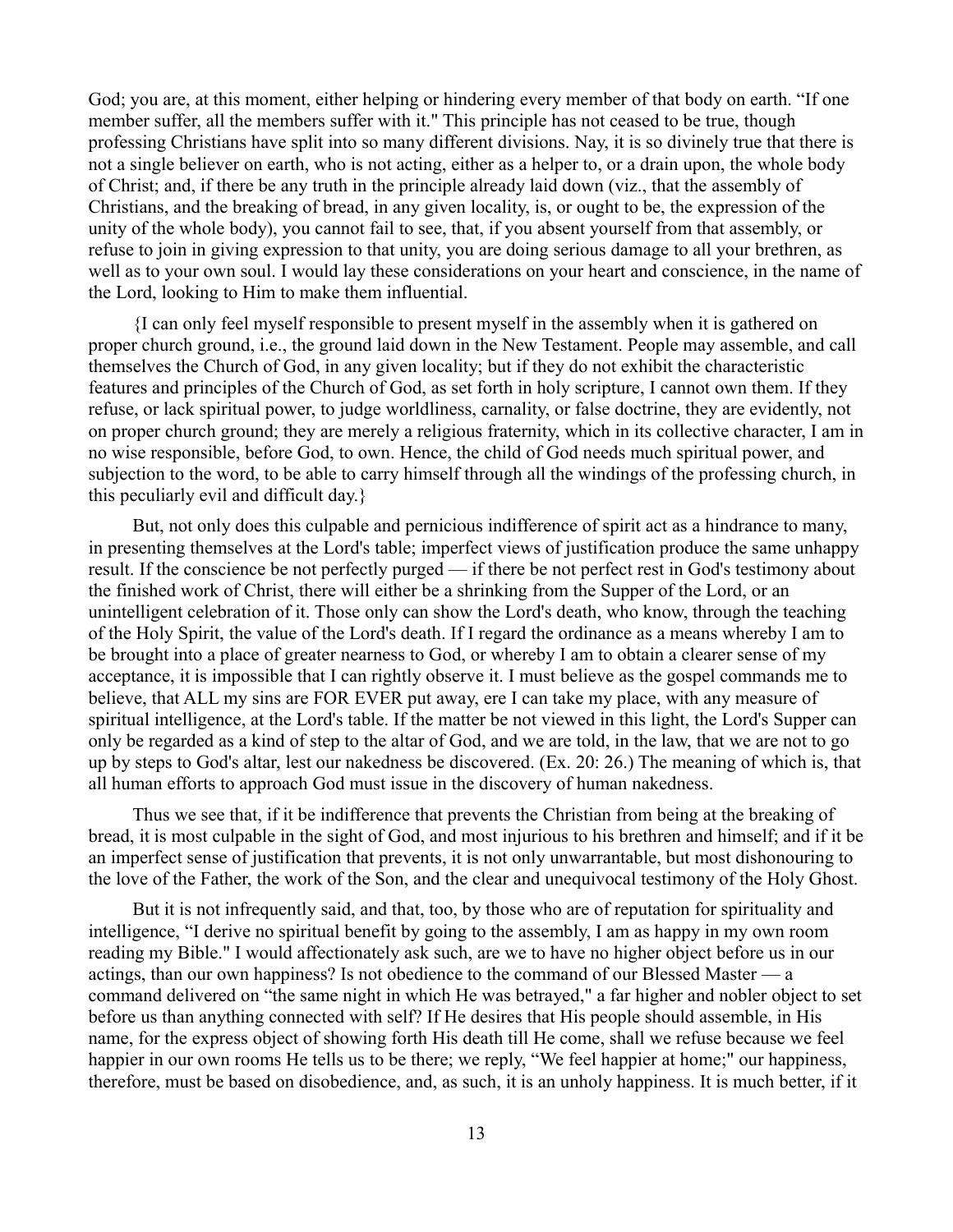God; you are, at this moment, either helping or hindering every member of that body on earth. "If one member suffer, all the members suffer with it." This principle has not ceased to be true, though professing Christians have split into so many different divisions. Nay, it is so divinely true that there is not a single believer on earth, who is not acting, either as a helper to, or a drain upon, the whole body of Christ; and, if there be any truth in the principle already laid down (viz., that the assembly of Christians, and the breaking of bread, in any given locality, is, or ought to be, the expression of the unity of the whole body), you cannot fail to see, that, if you absent yourself from that assembly, or refuse to join in giving expression to that unity, you are doing serious damage to all your brethren, as well as to your own soul. I would lay these considerations on your heart and conscience, in the name of the Lord, looking to Him to make them influential.

{I can only feel myself responsible to present myself in the assembly when it is gathered on proper church ground, i.e., the ground laid down in the New Testament. People may assemble, and call themselves the Church of God, in any given locality; but if they do not exhibit the characteristic features and principles of the Church of God, as set forth in holy scripture, I cannot own them. If they refuse, or lack spiritual power, to judge worldliness, carnality, or false doctrine, they are evidently, not on proper church ground; they are merely a religious fraternity, which in its collective character, I am in no wise responsible, before God, to own. Hence, the child of God needs much spiritual power, and subjection to the word, to be able to carry himself through all the windings of the professing church, in this peculiarly evil and difficult day.}

But, not only does this culpable and pernicious indifference of spirit act as a hindrance to many, in presenting themselves at the Lord's table; imperfect views of justification produce the same unhappy result. If the conscience be not perfectly purged — if there be not perfect rest in God's testimony about the finished work of Christ, there will either be a shrinking from the Supper of the Lord, or an unintelligent celebration of it. Those only can show the Lord's death, who know, through the teaching of the Holy Spirit, the value of the Lord's death. If I regard the ordinance as a means whereby I am to be brought into a place of greater nearness to God, or whereby I am to obtain a clearer sense of my acceptance, it is impossible that I can rightly observe it. I must believe as the gospel commands me to believe, that ALL my sins are FOR EVER put away, ere I can take my place, with any measure of spiritual intelligence, at the Lord's table. If the matter be not viewed in this light, the Lord's Supper can only be regarded as a kind of step to the altar of God, and we are told, in the law, that we are not to go up by steps to God's altar, lest our nakedness be discovered. (Ex. 20: 26.) The meaning of which is, that all human efforts to approach God must issue in the discovery of human nakedness.

Thus we see that, if it be indifference that prevents the Christian from being at the breaking of bread, it is most culpable in the sight of God, and most injurious to his brethren and himself; and if it be an imperfect sense of justification that prevents, it is not only unwarrantable, but most dishonouring to the love of the Father, the work of the Son, and the clear and unequivocal testimony of the Holy Ghost.

But it is not infrequently said, and that, too, by those who are of reputation for spirituality and intelligence, "I derive no spiritual benefit by going to the assembly, I am as happy in my own room reading my Bible." I would affectionately ask such, are we to have no higher object before us in our actings, than our own happiness? Is not obedience to the command of our Blessed Master — a command delivered on "the same night in which He was betrayed," a far higher and nobler object to set before us than anything connected with self? If He desires that His people should assemble, in His name, for the express object of showing forth His death till He come, shall we refuse because we feel happier in our own rooms He tells us to be there; we reply, "We feel happier at home;" our happiness, therefore, must be based on disobedience, and, as such, it is an unholy happiness. It is much better, if it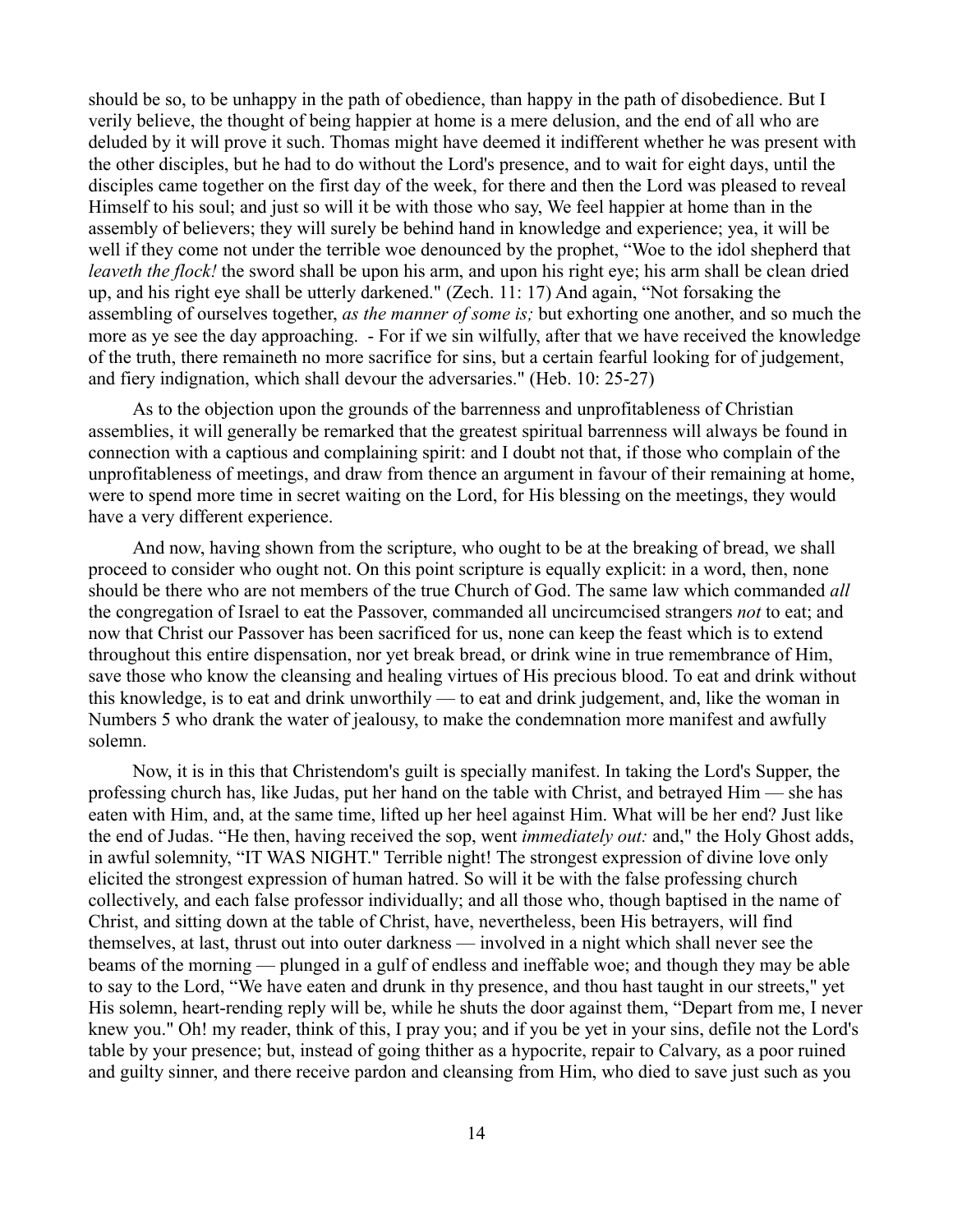should be so, to be unhappy in the path of obedience, than happy in the path of disobedience. But I verily believe, the thought of being happier at home is a mere delusion, and the end of all who are deluded by it will prove it such. Thomas might have deemed it indifferent whether he was present with the other disciples, but he had to do without the Lord's presence, and to wait for eight days, until the disciples came together on the first day of the week, for there and then the Lord was pleased to reveal Himself to his soul; and just so will it be with those who say, We feel happier at home than in the assembly of believers; they will surely be behind hand in knowledge and experience; yea, it will be well if they come not under the terrible woe denounced by the prophet, "Woe to the idol shepherd that *leaveth the flock!* the sword shall be upon his arm, and upon his right eye; his arm shall be clean dried up, and his right eye shall be utterly darkened." (Zech. 11: 17) And again, "Not forsaking the assembling of ourselves together, *as the manner of some is;* but exhorting one another, and so much the more as ye see the day approaching. - For if we sin wilfully, after that we have received the knowledge of the truth, there remaineth no more sacrifice for sins, but a certain fearful looking for of judgement, and fiery indignation, which shall devour the adversaries." (Heb. 10: 25-27)

As to the objection upon the grounds of the barrenness and unprofitableness of Christian assemblies, it will generally be remarked that the greatest spiritual barrenness will always be found in connection with a captious and complaining spirit: and I doubt not that, if those who complain of the unprofitableness of meetings, and draw from thence an argument in favour of their remaining at home, were to spend more time in secret waiting on the Lord, for His blessing on the meetings, they would have a very different experience.

And now, having shown from the scripture, who ought to be at the breaking of bread, we shall proceed to consider who ought not. On this point scripture is equally explicit: in a word, then, none should be there who are not members of the true Church of God. The same law which commanded *all* the congregation of Israel to eat the Passover, commanded all uncircumcised strangers *not* to eat; and now that Christ our Passover has been sacrificed for us, none can keep the feast which is to extend throughout this entire dispensation, nor yet break bread, or drink wine in true remembrance of Him, save those who know the cleansing and healing virtues of His precious blood. To eat and drink without this knowledge, is to eat and drink unworthily — to eat and drink judgement, and, like the woman in Numbers 5 who drank the water of jealousy, to make the condemnation more manifest and awfully solemn.

Now, it is in this that Christendom's guilt is specially manifest. In taking the Lord's Supper, the professing church has, like Judas, put her hand on the table with Christ, and betrayed Him — she has eaten with Him, and, at the same time, lifted up her heel against Him. What will be her end? Just like the end of Judas. "He then, having received the sop, went *immediately out:* and," the Holy Ghost adds, in awful solemnity, "IT WAS NIGHT." Terrible night! The strongest expression of divine love only elicited the strongest expression of human hatred. So will it be with the false professing church collectively, and each false professor individually; and all those who, though baptised in the name of Christ, and sitting down at the table of Christ, have, nevertheless, been His betrayers, will find themselves, at last, thrust out into outer darkness — involved in a night which shall never see the beams of the morning — plunged in a gulf of endless and ineffable woe; and though they may be able to say to the Lord, "We have eaten and drunk in thy presence, and thou hast taught in our streets," yet His solemn, heart-rending reply will be, while he shuts the door against them, "Depart from me, I never knew you." Oh! my reader, think of this, I pray you; and if you be yet in your sins, defile not the Lord's table by your presence; but, instead of going thither as a hypocrite, repair to Calvary, as a poor ruined and guilty sinner, and there receive pardon and cleansing from Him, who died to save just such as you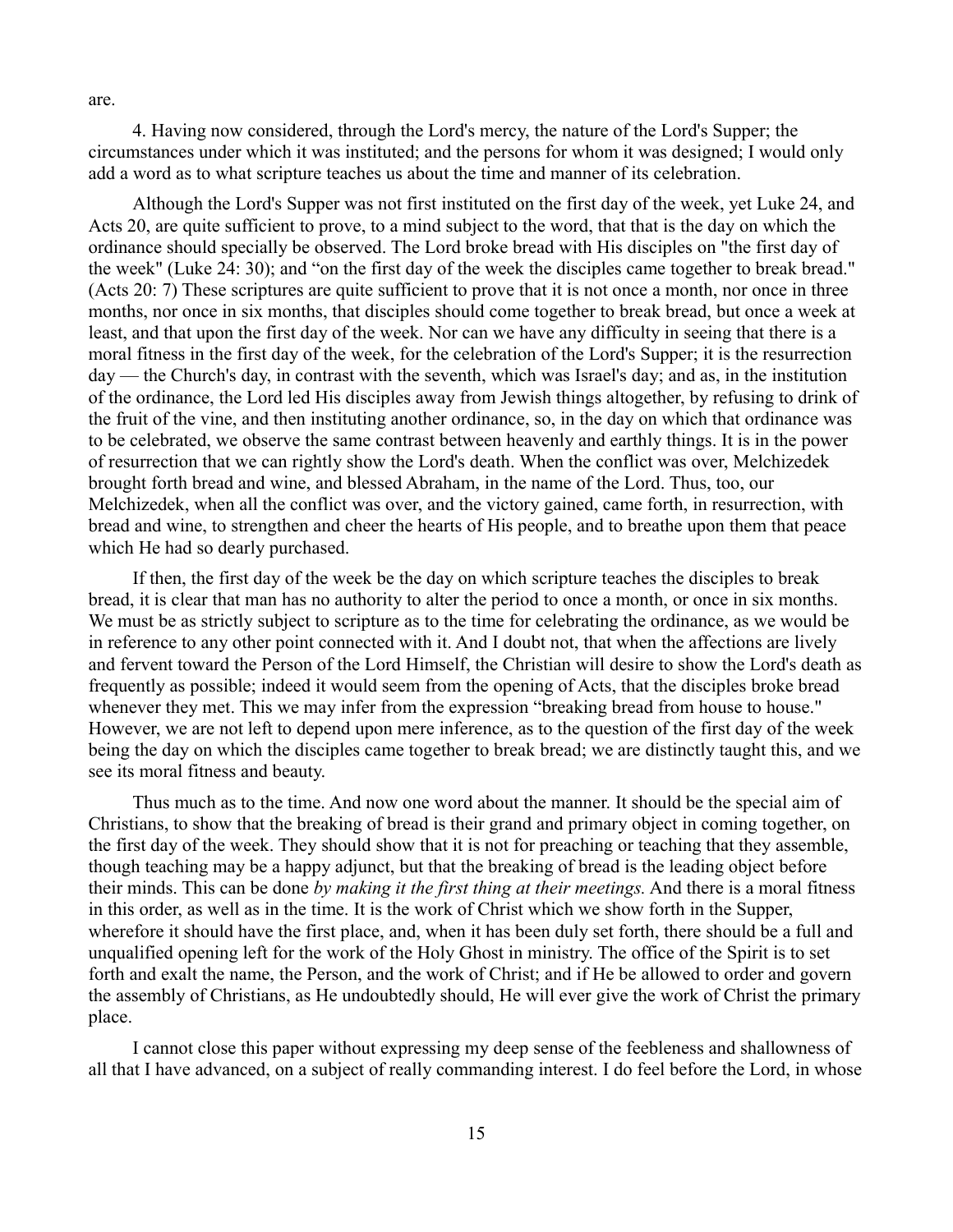are.

4. Having now considered, through the Lord's mercy, the nature of the Lord's Supper; the circumstances under which it was instituted; and the persons for whom it was designed; I would only add a word as to what scripture teaches us about the time and manner of its celebration.

Although the Lord's Supper was not first instituted on the first day of the week, yet Luke 24, and Acts 20, are quite sufficient to prove, to a mind subject to the word, that that is the day on which the ordinance should specially be observed. The Lord broke bread with His disciples on "the first day of the week" (Luke 24: 30); and "on the first day of the week the disciples came together to break bread." (Acts 20: 7) These scriptures are quite sufficient to prove that it is not once a month, nor once in three months, nor once in six months, that disciples should come together to break bread, but once a week at least, and that upon the first day of the week. Nor can we have any difficulty in seeing that there is a moral fitness in the first day of the week, for the celebration of the Lord's Supper; it is the resurrection day — the Church's day, in contrast with the seventh, which was Israel's day; and as, in the institution of the ordinance, the Lord led His disciples away from Jewish things altogether, by refusing to drink of the fruit of the vine, and then instituting another ordinance, so, in the day on which that ordinance was to be celebrated, we observe the same contrast between heavenly and earthly things. It is in the power of resurrection that we can rightly show the Lord's death. When the conflict was over, Melchizedek brought forth bread and wine, and blessed Abraham, in the name of the Lord. Thus, too, our Melchizedek, when all the conflict was over, and the victory gained, came forth, in resurrection, with bread and wine, to strengthen and cheer the hearts of His people, and to breathe upon them that peace which He had so dearly purchased.

If then, the first day of the week be the day on which scripture teaches the disciples to break bread, it is clear that man has no authority to alter the period to once a month, or once in six months. We must be as strictly subject to scripture as to the time for celebrating the ordinance, as we would be in reference to any other point connected with it. And I doubt not, that when the affections are lively and fervent toward the Person of the Lord Himself, the Christian will desire to show the Lord's death as frequently as possible; indeed it would seem from the opening of Acts, that the disciples broke bread whenever they met. This we may infer from the expression "breaking bread from house to house." However, we are not left to depend upon mere inference, as to the question of the first day of the week being the day on which the disciples came together to break bread; we are distinctly taught this, and we see its moral fitness and beauty.

Thus much as to the time. And now one word about the manner. It should be the special aim of Christians, to show that the breaking of bread is their grand and primary object in coming together, on the first day of the week. They should show that it is not for preaching or teaching that they assemble, though teaching may be a happy adjunct, but that the breaking of bread is the leading object before their minds. This can be done *by making it the first thing at their meetings.* And there is a moral fitness in this order, as well as in the time. It is the work of Christ which we show forth in the Supper, wherefore it should have the first place, and, when it has been duly set forth, there should be a full and unqualified opening left for the work of the Holy Ghost in ministry. The office of the Spirit is to set forth and exalt the name, the Person, and the work of Christ; and if He be allowed to order and govern the assembly of Christians, as He undoubtedly should, He will ever give the work of Christ the primary place.

I cannot close this paper without expressing my deep sense of the feebleness and shallowness of all that I have advanced, on a subject of really commanding interest. I do feel before the Lord, in whose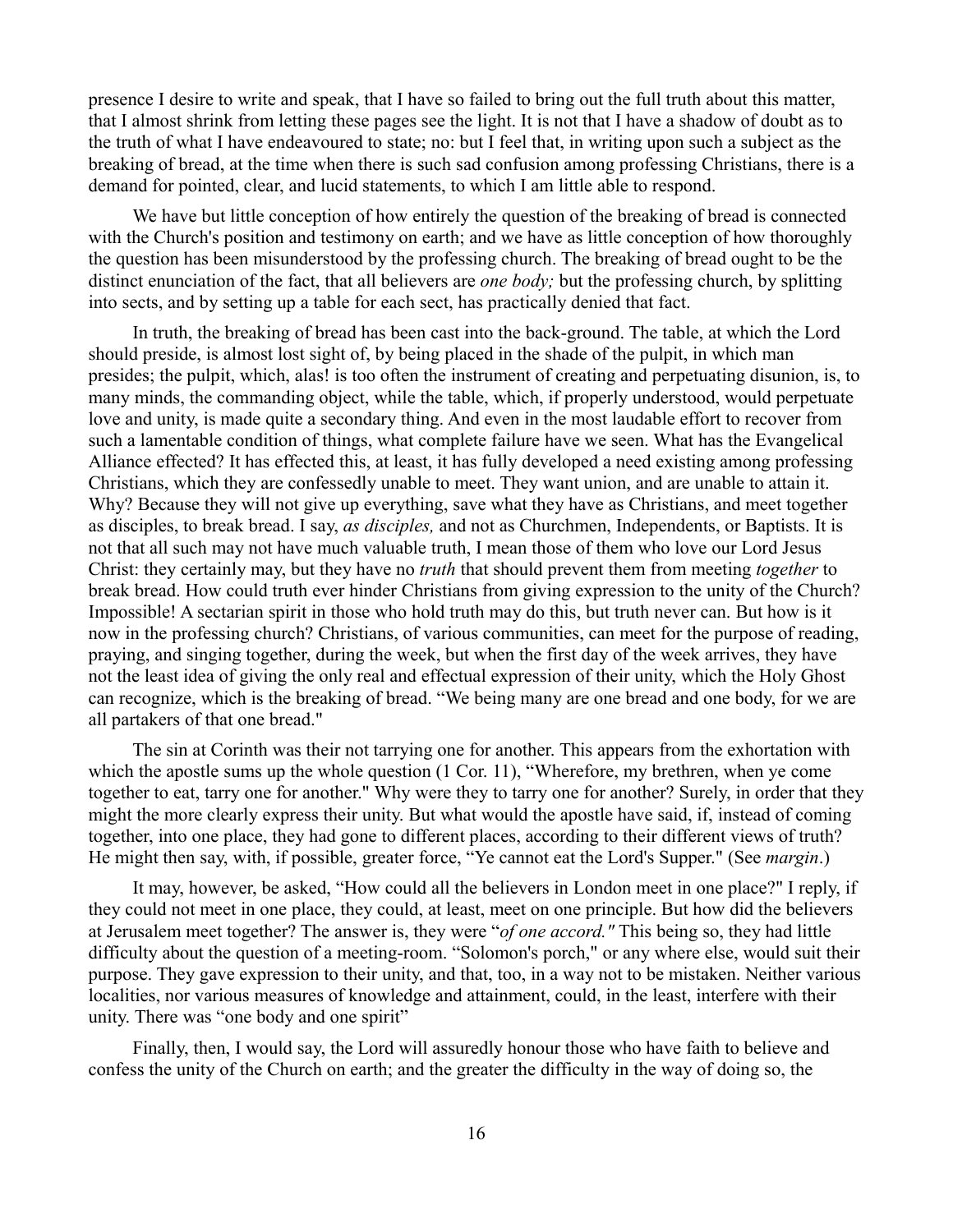presence I desire to write and speak, that I have so failed to bring out the full truth about this matter, that I almost shrink from letting these pages see the light. It is not that I have a shadow of doubt as to the truth of what I have endeavoured to state; no: but I feel that, in writing upon such a subject as the breaking of bread, at the time when there is such sad confusion among professing Christians, there is a demand for pointed, clear, and lucid statements, to which I am little able to respond.

We have but little conception of how entirely the question of the breaking of bread is connected with the Church's position and testimony on earth; and we have as little conception of how thoroughly the question has been misunderstood by the professing church. The breaking of bread ought to be the distinct enunciation of the fact, that all believers are *one body;* but the professing church, by splitting into sects, and by setting up a table for each sect, has practically denied that fact.

In truth, the breaking of bread has been cast into the back-ground. The table, at which the Lord should preside, is almost lost sight of, by being placed in the shade of the pulpit, in which man presides; the pulpit, which, alas! is too often the instrument of creating and perpetuating disunion, is, to many minds, the commanding object, while the table, which, if properly understood, would perpetuate love and unity, is made quite a secondary thing. And even in the most laudable effort to recover from such a lamentable condition of things, what complete failure have we seen. What has the Evangelical Alliance effected? It has effected this, at least, it has fully developed a need existing among professing Christians, which they are confessedly unable to meet. They want union, and are unable to attain it. Why? Because they will not give up everything, save what they have as Christians, and meet together as disciples, to break bread. I say, *as disciples,* and not as Churchmen, Independents, or Baptists. It is not that all such may not have much valuable truth, I mean those of them who love our Lord Jesus Christ: they certainly may, but they have no *truth* that should prevent them from meeting *together* to break bread. How could truth ever hinder Christians from giving expression to the unity of the Church? Impossible! A sectarian spirit in those who hold truth may do this, but truth never can. But how is it now in the professing church? Christians, of various communities, can meet for the purpose of reading, praying, and singing together, during the week, but when the first day of the week arrives, they have not the least idea of giving the only real and effectual expression of their unity, which the Holy Ghost can recognize, which is the breaking of bread. "We being many are one bread and one body, for we are all partakers of that one bread."

The sin at Corinth was their not tarrying one for another. This appears from the exhortation with which the apostle sums up the whole question (1 Cor. 11), "Wherefore, my brethren, when ye come together to eat, tarry one for another." Why were they to tarry one for another? Surely, in order that they might the more clearly express their unity. But what would the apostle have said, if, instead of coming together, into one place, they had gone to different places, according to their different views of truth? He might then say, with, if possible, greater force, "Ye cannot eat the Lord's Supper." (See *margin*.)

It may, however, be asked, "How could all the believers in London meet in one place?" I reply, if they could not meet in one place, they could, at least, meet on one principle. But how did the believers at Jerusalem meet together? The answer is, they were "*of one accord."* This being so, they had little difficulty about the question of a meeting-room. "Solomon's porch," or any where else, would suit their purpose. They gave expression to their unity, and that, too, in a way not to be mistaken. Neither various localities, nor various measures of knowledge and attainment, could, in the least, interfere with their unity. There was "one body and one spirit"

Finally, then, I would say, the Lord will assuredly honour those who have faith to believe and confess the unity of the Church on earth; and the greater the difficulty in the way of doing so, the